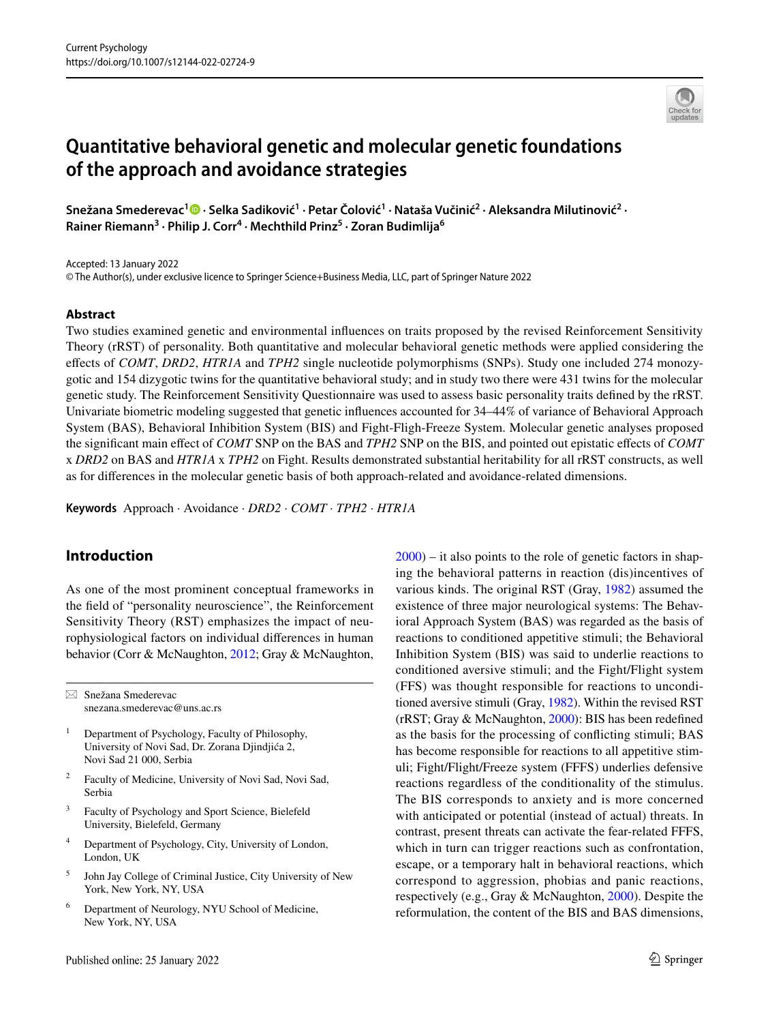# **Quantitative behavioral genetic and molecular genetic foundations of the approach and avoidance strategies**

**Snežana Smederevac1 · Selka Sadiković1 · Petar Čolović1 · Nataša Vučinić<sup>2</sup> · Aleksandra Milutinović<sup>2</sup> · Rainer Riemann3 · Philip J. Corr4 · Mechthild Prinz5 · Zoran Budimlija6**

Accepted: 13 January 2022

© The Author(s), under exclusive licence to Springer Science+Business Media, LLC, part of Springer Nature 2022

#### **Abstract**

Two studies examined genetic and environmental infuences on traits proposed by the revised Reinforcement Sensitivity Theory (rRST) of personality. Both quantitative and molecular behavioral genetic methods were applied considering the efects of *COMT*, *DRD2*, *HTR1A* and *TPH2* single nucleotide polymorphisms (SNPs). Study one included 274 monozygotic and 154 dizygotic twins for the quantitative behavioral study; and in study two there were 431 twins for the molecular genetic study. The Reinforcement Sensitivity Questionnaire was used to assess basic personality traits defned by the rRST. Univariate biometric modeling suggested that genetic infuences accounted for 34–44% of variance of Behavioral Approach System (BAS), Behavioral Inhibition System (BIS) and Fight-Fligh-Freeze System. Molecular genetic analyses proposed the signifcant main efect of *COMT* SNP on the BAS and *TPH2* SNP on the BIS, and pointed out epistatic efects of *COMT* x *DRD2* on BAS and *HTR1A* x *TPH2* on Fight. Results demonstrated substantial heritability for all rRST constructs, as well as for diferences in the molecular genetic basis of both approach-related and avoidance-related dimensions.

**Keywords** Approach · Avoidance · *DRD2* · *COMT* · *TPH2* · *HTR1A*

# **Introduction**

As one of the most prominent conceptual frameworks in the feld of "personality neuroscience", the Reinforcement Sensitivity Theory (RST) emphasizes the impact of neurophysiological factors on individual diferences in human behavior (Corr & McNaughton, [2012;](#page-12-0) Gray & McNaughton,

 $\boxtimes$  Snežana Smederevac snezana.smederevac@uns.ac.rs

- <sup>1</sup> Department of Psychology, Faculty of Philosophy, University of Novi Sad, Dr. Zorana Djindjića 2, Novi Sad 21 000, Serbia
- <sup>2</sup> Faculty of Medicine, University of Novi Sad, Novi Sad, Serbia
- Faculty of Psychology and Sport Science, Bielefeld University, Bielefeld, Germany
- <sup>4</sup> Department of Psychology, City, University of London, London, UK
- <sup>5</sup> John Jay College of Criminal Justice, City University of New York, New York, NY, USA
- Department of Neurology, NYU School of Medicine, New York, NY, USA

[2000](#page-13-0)) – it also points to the role of genetic factors in shaping the behavioral patterns in reaction (dis)incentives of various kinds. The original RST (Gray, [1982](#page-13-1)) assumed the existence of three major neurological systems: The Behavioral Approach System (BAS) was regarded as the basis of reactions to conditioned appetitive stimuli; the Behavioral Inhibition System (BIS) was said to underlie reactions to conditioned aversive stimuli; and the Fight/Flight system (FFS) was thought responsible for reactions to unconditioned aversive stimuli (Gray, [1982\)](#page-13-1). Within the revised RST (rRST; Gray & McNaughton, [2000\)](#page-13-0): BIS has been redefned as the basis for the processing of conficting stimuli; BAS has become responsible for reactions to all appetitive stimuli; Fight/Flight/Freeze system (FFFS) underlies defensive reactions regardless of the conditionality of the stimulus. The BIS corresponds to anxiety and is more concerned with anticipated or potential (instead of actual) threats. In contrast, present threats can activate the fear-related FFFS, which in turn can trigger reactions such as confrontation, escape, or a temporary halt in behavioral reactions, which correspond to aggression, phobias and panic reactions, respectively (e.g., Gray & McNaughton, [2000](#page-13-0)). Despite the reformulation, the content of the BIS and BAS dimensions,

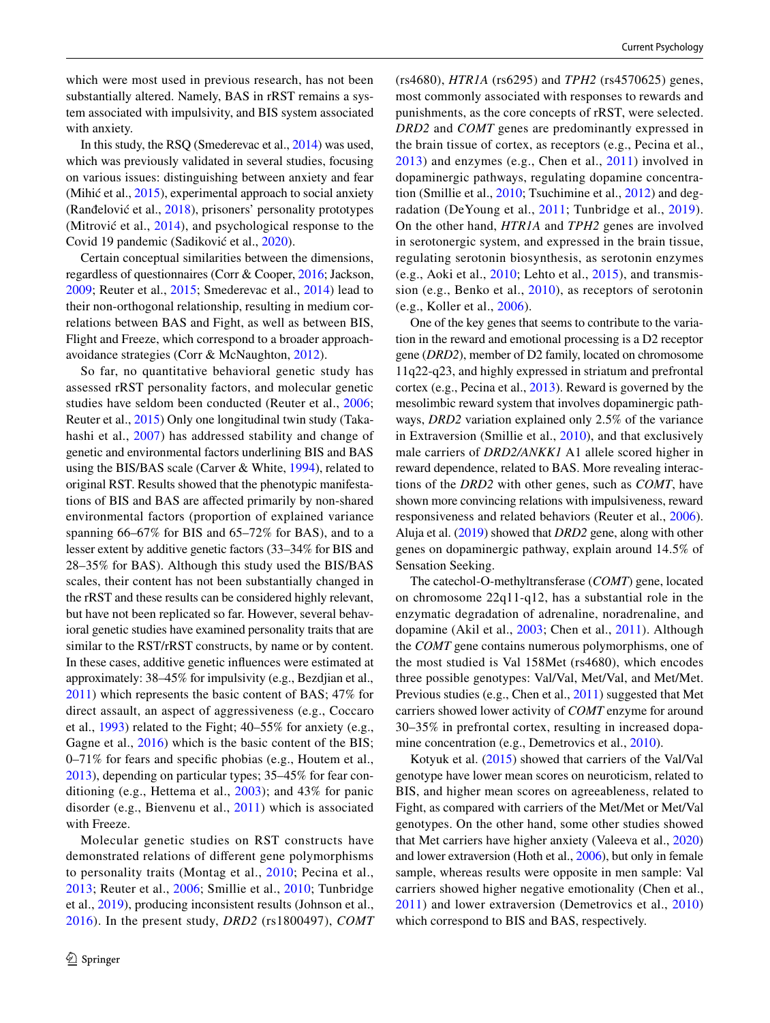which were most used in previous research, has not been substantially altered. Namely, BAS in rRST remains a system associated with impulsivity, and BIS system associated with anxiety.

In this study, the RSQ (Smederevac et al., [2014\)](#page-14-0) was used, which was previously validated in several studies, focusing on various issues: distinguishing between anxiety and fear (Mihić et al., [2015\)](#page-13-2), experimental approach to social anxiety (Ranđelović et al., [2018\)](#page-14-1), prisoners' personality prototypes (Mitrović et al., [2014\)](#page-13-3), and psychological response to the Covid 19 pandemic (Sadiković et al., [2020\)](#page-14-2).

Certain conceptual similarities between the dimensions, regardless of questionnaires (Corr & Cooper, [2016;](#page-12-1) Jackson, [2009](#page-13-4); Reuter et al., [2015](#page-14-3); Smederevac et al., [2014](#page-14-0)) lead to their non-orthogonal relationship, resulting in medium correlations between BAS and Fight, as well as between BIS, Flight and Freeze, which correspond to a broader approachavoidance strategies (Corr & McNaughton, [2012\)](#page-12-0).

So far, no quantitative behavioral genetic study has assessed rRST personality factors, and molecular genetic studies have seldom been conducted (Reuter et al., [2006](#page-14-4); Reuter et al., [2015\)](#page-14-3) Only one longitudinal twin study (Takahashi et al., [2007](#page-14-5)) has addressed stability and change of genetic and environmental factors underlining BIS and BAS using the BIS/BAS scale (Carver & White, [1994\)](#page-12-2), related to original RST. Results showed that the phenotypic manifestations of BIS and BAS are afected primarily by non-shared environmental factors (proportion of explained variance spanning 66–67% for BIS and 65–72% for BAS), and to a lesser extent by additive genetic factors (33–34% for BIS and 28–35% for BAS). Although this study used the BIS/BAS scales, their content has not been substantially changed in the rRST and these results can be considered highly relevant, but have not been replicated so far. However, several behavioral genetic studies have examined personality traits that are similar to the RST/rRST constructs, by name or by content. In these cases, additive genetic infuences were estimated at approximately: 38–45% for impulsivity (e.g., Bezdjian et al., [2011](#page-12-3)) which represents the basic content of BAS; 47% for direct assault, an aspect of aggressiveness (e.g., Coccaro et al., [1993\)](#page-12-4) related to the Fight; 40–55% for anxiety (e.g., Gagne et al., [2016\)](#page-12-5) which is the basic content of the BIS; 0–71% for fears and specifc phobias (e.g., Houtem et al., [2013](#page-13-5)), depending on particular types; 35–45% for fear conditioning (e.g., Hettema et al., [2003](#page-13-6)); and 43% for panic disorder (e.g., Bienvenu et al., [2011\)](#page-12-6) which is associated with Freeze.

Molecular genetic studies on RST constructs have demonstrated relations of diferent gene polymorphisms to personality traits (Montag et al., [2010](#page-14-6); Pecina et al., [2013;](#page-14-7) Reuter et al., [2006;](#page-14-4) Smillie et al., [2010;](#page-14-8) Tunbridge et al., [2019\)](#page-14-9), producing inconsistent results (Johnson et al., [2016](#page-13-7)). In the present study, *DRD2* (rs1800497), *COMT* (rs4680), *HTR1A* (rs6295) and *TPH2* (rs4570625) genes, most commonly associated with responses to rewards and punishments, as the core concepts of rRST, were selected. *DRD2* and *COMT* genes are predominantly expressed in the brain tissue of cortex, as receptors (e.g., Pecina et al., [2013](#page-14-7)) and enzymes (e.g., Chen et al., [2011](#page-12-7)) involved in dopaminergic pathways, regulating dopamine concentration (Smillie et al., [2010](#page-14-8); Tsuchimine et al., [2012\)](#page-14-10) and degradation (DeYoung et al., [2011;](#page-12-8) Tunbridge et al., [2019](#page-14-9)). On the other hand, *HTR1A* and *TPH2* genes are involved in serotonergic system, and expressed in the brain tissue, regulating serotonin biosynthesis, as serotonin enzymes (e.g., Aoki et al., [2010;](#page-12-9) Lehto et al., [2015\)](#page-13-8), and transmission (e.g., Benko et al., [2010\)](#page-12-10), as receptors of serotonin (e.g., Koller et al., [2006\)](#page-13-9).

One of the key genes that seems to contribute to the variation in the reward and emotional processing is a D2 receptor gene (*DRD2*), member of D2 family, located on chromosome 11q22-q23, and highly expressed in striatum and prefrontal cortex (e.g., Pecina et al., [2013\)](#page-14-7). Reward is governed by the mesolimbic reward system that involves dopaminergic pathways, *DRD2* variation explained only 2.5% of the variance in Extraversion (Smillie et al., [2010\)](#page-14-8), and that exclusively male carriers of *DRD2/ANKK1* A1 allele scored higher in reward dependence, related to BAS. More revealing interactions of the *DRD2* with other genes, such as *COMT*, have shown more convincing relations with impulsiveness, reward responsiveness and related behaviors (Reuter et al., [2006](#page-14-4)). Aluja et al. ([2019](#page-12-11)) showed that *DRD2* gene, along with other genes on dopaminergic pathway, explain around 14.5% of Sensation Seeking.

The catechol-O-methyltransferase (*COMT*) gene, located on chromosome 22q11-q12, has a substantial role in the enzymatic degradation of adrenaline, noradrenaline, and dopamine (Akil et al., [2003](#page-12-12); Chen et al., [2011\)](#page-12-7). Although the *COMT* gene contains numerous polymorphisms, one of the most studied is Val 158Met (rs4680), which encodes three possible genotypes: Val/Val, Met/Val, and Met/Met. Previous studies (e.g., Chen et al., [2011\)](#page-12-7) suggested that Met carriers showed lower activity of *COMT* enzyme for around 30–35% in prefrontal cortex, resulting in increased dopa-mine concentration (e.g., Demetrovics et al., [2010\)](#page-12-13).

Kotyuk et al. [\(2015\)](#page-13-10) showed that carriers of the Val/Val genotype have lower mean scores on neuroticism, related to BIS, and higher mean scores on agreeableness, related to Fight, as compared with carriers of the Met/Met or Met/Val genotypes. On the other hand, some other studies showed that Met carriers have higher anxiety (Valeeva et al., [2020\)](#page-14-11) and lower extraversion (Hoth et al., [2006\)](#page-13-11), but only in female sample, whereas results were opposite in men sample: Val carriers showed higher negative emotionality (Chen et al., [2011\)](#page-12-7) and lower extraversion (Demetrovics et al., [2010\)](#page-12-13) which correspond to BIS and BAS, respectively.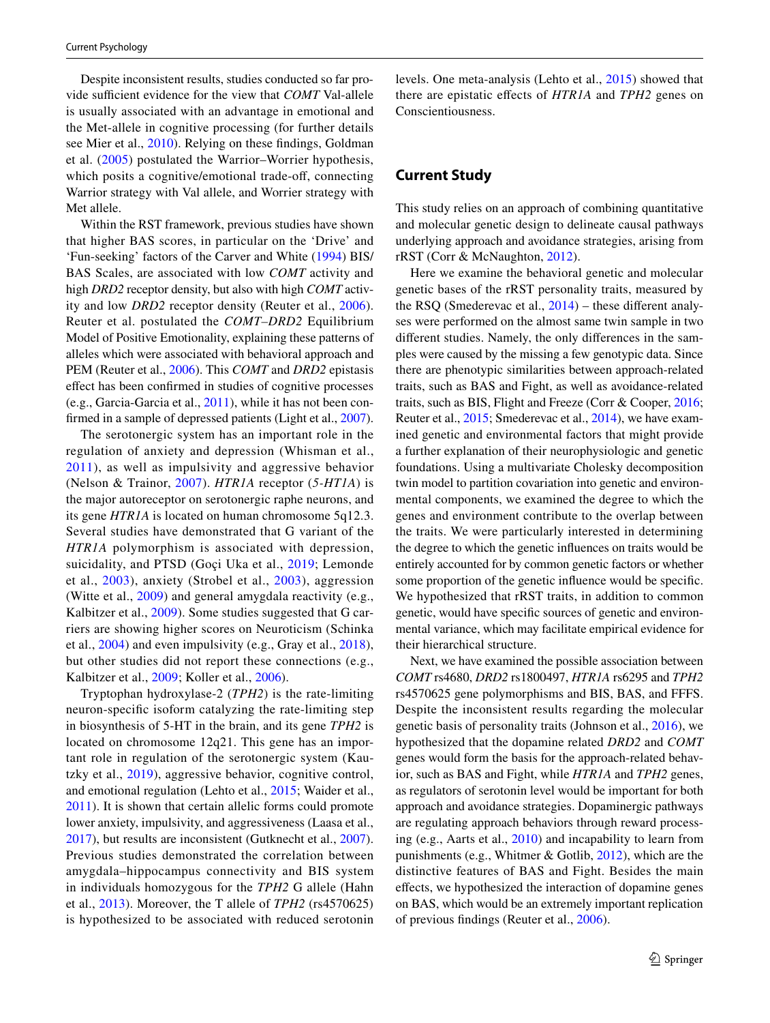Despite inconsistent results, studies conducted so far provide sufficient evidence for the view that *COMT* Val-allele is usually associated with an advantage in emotional and the Met-allele in cognitive processing (for further details see Mier et al., [2010](#page-13-12)). Relying on these fndings, Goldman et al. ([2005](#page-13-13)) postulated the Warrior–Worrier hypothesis, which posits a cognitive/emotional trade-off, connecting Warrior strategy with Val allele, and Worrier strategy with Met allele.

Within the RST framework, previous studies have shown that higher BAS scores, in particular on the 'Drive' and 'Fun-seeking' factors of the Carver and White [\(1994\)](#page-12-2) BIS/ BAS Scales, are associated with low *COMT* activity and high *DRD2* receptor density, but also with high *COMT* activity and low *DRD2* receptor density (Reuter et al., [2006](#page-14-4)). Reuter et al. postulated the *COMT–DRD2* Equilibrium Model of Positive Emotionality, explaining these patterns of alleles which were associated with behavioral approach and PEM (Reuter et al., [2006](#page-14-4)). This *COMT* and *DRD2* epistasis efect has been confrmed in studies of cognitive processes (e.g., Garcia-Garcia et al., [2011\)](#page-12-14), while it has not been con-firmed in a sample of depressed patients (Light et al., [2007](#page-13-14)).

The serotonergic system has an important role in the regulation of anxiety and depression (Whisman et al., [2011](#page-14-12)), as well as impulsivity and aggressive behavior (Nelson & Trainor, [2007\)](#page-14-13). *HTR1A* receptor (*5-HT1A*) is the major autoreceptor on serotonergic raphe neurons, and its gene *HTR1A* is located on human chromosome 5q12.3. Several studies have demonstrated that G variant of the *HTR1A* polymorphism is associated with depression, suicidality, and PTSD (Goçi Uka et al., [2019;](#page-12-15) Lemonde et al., [2003\)](#page-13-15), anxiety (Strobel et al., [2003](#page-14-14)), aggression (Witte et al., [2009\)](#page-14-15) and general amygdala reactivity (e.g., Kalbitzer et al., [2009](#page-13-16)). Some studies suggested that G carriers are showing higher scores on Neuroticism (Schinka et al., [2004\)](#page-14-16) and even impulsivity (e.g., Gray et al., [2018](#page-13-17)), but other studies did not report these connections (e.g., Kalbitzer et al., [2009](#page-13-16); Koller et al., [2006\)](#page-13-9).

Tryptophan hydroxylase-2 (*TPH2*) is the rate-limiting neuron-specifc isoform catalyzing the rate-limiting step in biosynthesis of 5-HT in the brain, and its gene *TPH2* is located on chromosome 12q21. This gene has an important role in regulation of the serotonergic system (Kautzky et al., [2019\)](#page-13-18), aggressive behavior, cognitive control, and emotional regulation (Lehto et al., [2015;](#page-13-8) Waider et al., [2011](#page-14-17)). It is shown that certain allelic forms could promote lower anxiety, impulsivity, and aggressiveness (Laasa et al., [2017](#page-13-19)), but results are inconsistent (Gutknecht et al., [2007](#page-13-20)). Previous studies demonstrated the correlation between amygdala–hippocampus connectivity and BIS system in individuals homozygous for the *TPH2* G allele (Hahn et al., [2013](#page-13-21)). Moreover, the T allele of *TPH2* (rs4570625) is hypothesized to be associated with reduced serotonin levels. One meta-analysis (Lehto et al., [2015](#page-13-8)) showed that there are epistatic efects of *HTR1A* and *TPH2* genes on Conscientiousness.

# **Current Study**

This study relies on an approach of combining quantitative and molecular genetic design to delineate causal pathways underlying approach and avoidance strategies, arising from rRST (Corr & McNaughton, [2012](#page-12-0)).

Here we examine the behavioral genetic and molecular genetic bases of the rRST personality traits, measured by the RSQ (Smederevac et al., [2014\)](#page-14-0) – these diferent analyses were performed on the almost same twin sample in two diferent studies. Namely, the only diferences in the samples were caused by the missing a few genotypic data. Since there are phenotypic similarities between approach-related traits, such as BAS and Fight, as well as avoidance-related traits, such as BIS, Flight and Freeze (Corr & Cooper, [2016](#page-12-1); Reuter et al., [2015](#page-14-3); Smederevac et al., [2014](#page-14-0)), we have examined genetic and environmental factors that might provide a further explanation of their neurophysiologic and genetic foundations. Using a multivariate Cholesky decomposition twin model to partition covariation into genetic and environmental components, we examined the degree to which the genes and environment contribute to the overlap between the traits. We were particularly interested in determining the degree to which the genetic infuences on traits would be entirely accounted for by common genetic factors or whether some proportion of the genetic infuence would be specifc. We hypothesized that rRST traits, in addition to common genetic, would have specifc sources of genetic and environmental variance, which may facilitate empirical evidence for their hierarchical structure.

Next, we have examined the possible association between *COMT* rs4680, *DRD2* rs1800497, *HTR1A* rs6295 and *TPH2* rs4570625 gene polymorphisms and BIS, BAS, and FFFS. Despite the inconsistent results regarding the molecular genetic basis of personality traits (Johnson et al., [2016](#page-13-7)), we hypothesized that the dopamine related *DRD2* and *COMT* genes would form the basis for the approach-related behavior, such as BAS and Fight, while *HTR1A* and *TPH2* genes, as regulators of serotonin level would be important for both approach and avoidance strategies. Dopaminergic pathways are regulating approach behaviors through reward processing (e.g., Aarts et al., [2010](#page-12-16)) and incapability to learn from punishments (e.g., Whitmer & Gotlib, [2012\)](#page-14-18), which are the distinctive features of BAS and Fight. Besides the main efects, we hypothesized the interaction of dopamine genes on BAS, which would be an extremely important replication of previous fndings (Reuter et al., [2006](#page-14-4)).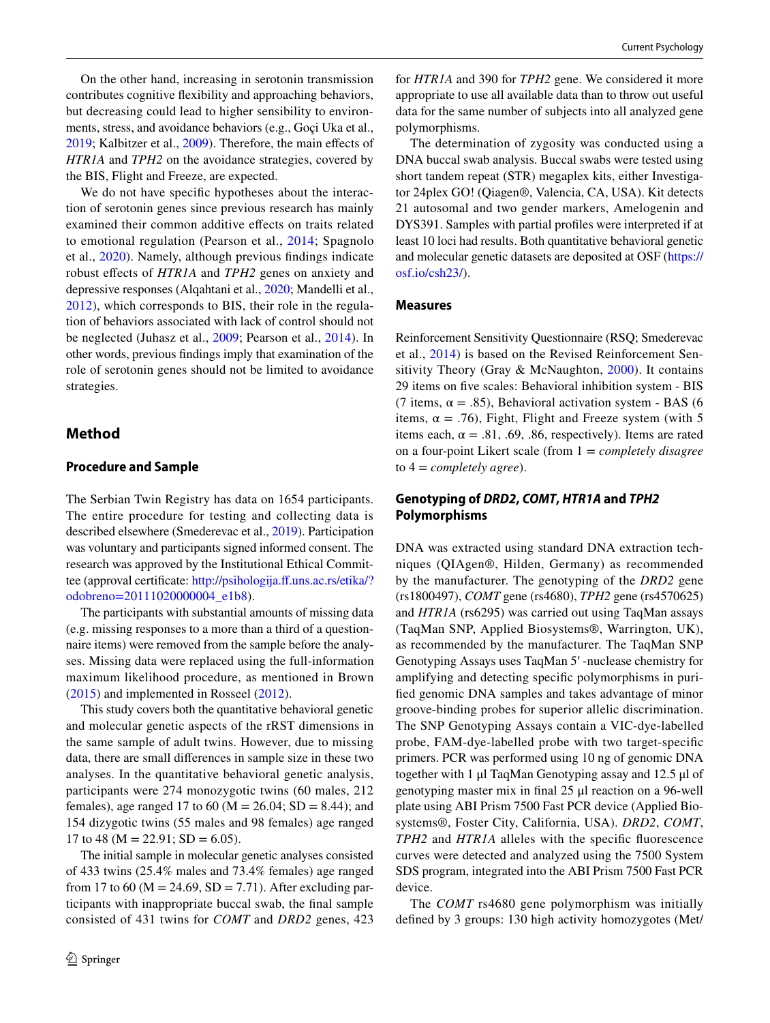On the other hand, increasing in serotonin transmission contributes cognitive fexibility and approaching behaviors, but decreasing could lead to higher sensibility to environments, stress, and avoidance behaviors (e.g., Goçi Uka et al., [2019](#page-12-15); Kalbitzer et al., [2009](#page-13-16)). Therefore, the main efects of *HTR1A* and *TPH2* on the avoidance strategies, covered by the BIS, Flight and Freeze, are expected.

We do not have specifc hypotheses about the interaction of serotonin genes since previous research has mainly examined their common additive efects on traits related to emotional regulation (Pearson et al., [2014](#page-14-19); Spagnolo et al., [2020](#page-14-20)). Namely, although previous fndings indicate robust efects of *HTR1A* and *TPH2* genes on anxiety and depressive responses (Alqahtani et al., [2020](#page-12-17); Mandelli et al., [2012](#page-13-22)), which corresponds to BIS, their role in the regulation of behaviors associated with lack of control should not be neglected (Juhasz et al., [2009;](#page-13-23) Pearson et al., [2014\)](#page-14-19). In other words, previous fndings imply that examination of the role of serotonin genes should not be limited to avoidance strategies.

## **Method**

#### **Procedure and Sample**

The Serbian Twin Registry has data on 1654 participants. The entire procedure for testing and collecting data is described elsewhere (Smederevac et al., [2019](#page-14-21)). Participation was voluntary and participants signed informed consent. The research was approved by the Institutional Ethical Committee (approval certificate: http://psihologija.ff.uns.ac.rs/etika/? [odobreno=20111020000004\\_e1b8](http://psihologija.ff.uns.ac.rs/etika/?odobreno=20111020000004_e1b8)).

The participants with substantial amounts of missing data (e.g. missing responses to a more than a third of a questionnaire items) were removed from the sample before the analyses. Missing data were replaced using the full-information maximum likelihood procedure, as mentioned in Brown [\(2015\)](#page-12-18) and implemented in Rosseel ([2012](#page-14-22)).

This study covers both the quantitative behavioral genetic and molecular genetic aspects of the rRST dimensions in the same sample of adult twins. However, due to missing data, there are small diferences in sample size in these two analyses. In the quantitative behavioral genetic analysis, participants were 274 monozygotic twins (60 males, 212 females), age ranged 17 to 60 ( $M = 26.04$ ; SD = 8.44); and 154 dizygotic twins (55 males and 98 females) age ranged 17 to 48 ( $M = 22.91$ ; SD = 6.05).

The initial sample in molecular genetic analyses consisted of 433 twins (25.4% males and 73.4% females) age ranged from 17 to 60 ( $M = 24.69$ ,  $SD = 7.71$ ). After excluding participants with inappropriate buccal swab, the fnal sample consisted of 431 twins for *COMT* and *DRD2* genes, 423 for *HTR1A* and 390 for *TPH2* gene. We considered it more appropriate to use all available data than to throw out useful data for the same number of subjects into all analyzed gene polymorphisms.

The determination of zygosity was conducted using a DNA buccal swab analysis. Buccal swabs were tested using short tandem repeat (STR) megaplex kits, either Investigator 24plex GO! (Qiagen®, Valencia, CA, USA). Kit detects 21 autosomal and two gender markers, Amelogenin and DYS391. Samples with partial profles were interpreted if at least 10 loci had results. Both quantitative behavioral genetic and molecular genetic datasets are deposited at OSF ([https://](https://osf.io/csh23/) [osf.io/csh23/](https://osf.io/csh23/)).

#### **Measures**

Reinforcement Sensitivity Questionnaire (RSQ; Smederevac et al., [2014](#page-14-0)) is based on the Revised Reinforcement Sensitivity Theory (Gray & McNaughton, [2000\)](#page-13-0). It contains 29 items on fve scales: Behavioral inhibition system - BIS (7 items,  $\alpha = .85$ ), Behavioral activation system - BAS (6 items,  $\alpha = .76$ ), Fight, Flight and Freeze system (with 5 items each,  $\alpha = .81, .69, .86$ , respectively). Items are rated on a four-point Likert scale (from 1 = *completely disagree* to 4 = *completely agree*).

## **Genotyping of** *DRD2***,** *COMT***,** *HTR1A* **and** *TPH2* **Polymorphisms**

DNA was extracted using standard DNA extraction techniques (QIAgen®, Hilden, Germany) as recommended by the manufacturer. The genotyping of the *DRD2* gene (rs1800497), *COMT* gene (rs4680), *TPH2* gene (rs4570625) and *HTR1A* (rs6295) was carried out using TaqMan assays (TaqMan SNP, Applied Biosystems®, Warrington, UK), as recommended by the manufacturer. The TaqMan SNP Genotyping Assays uses TaqMan 5′ -nuclease chemistry for amplifying and detecting specifc polymorphisms in purifed genomic DNA samples and takes advantage of minor groove-binding probes for superior allelic discrimination. The SNP Genotyping Assays contain a VIC-dye-labelled probe, FAM-dye-labelled probe with two target-specifc primers. PCR was performed using 10 ng of genomic DNA together with 1 μl TaqMan Genotyping assay and 12.5 μl of genotyping master mix in fnal 25 μl reaction on a 96-well plate using ABI Prism 7500 Fast PCR device (Applied Biosystems®, Foster City, California, USA). *DRD2*, *COMT*, *TPH2* and *HTR1A* alleles with the specifc fuorescence curves were detected and analyzed using the 7500 System SDS program, integrated into the ABI Prism 7500 Fast PCR device.

The *COMT* rs4680 gene polymorphism was initially defned by 3 groups: 130 high activity homozygotes (Met/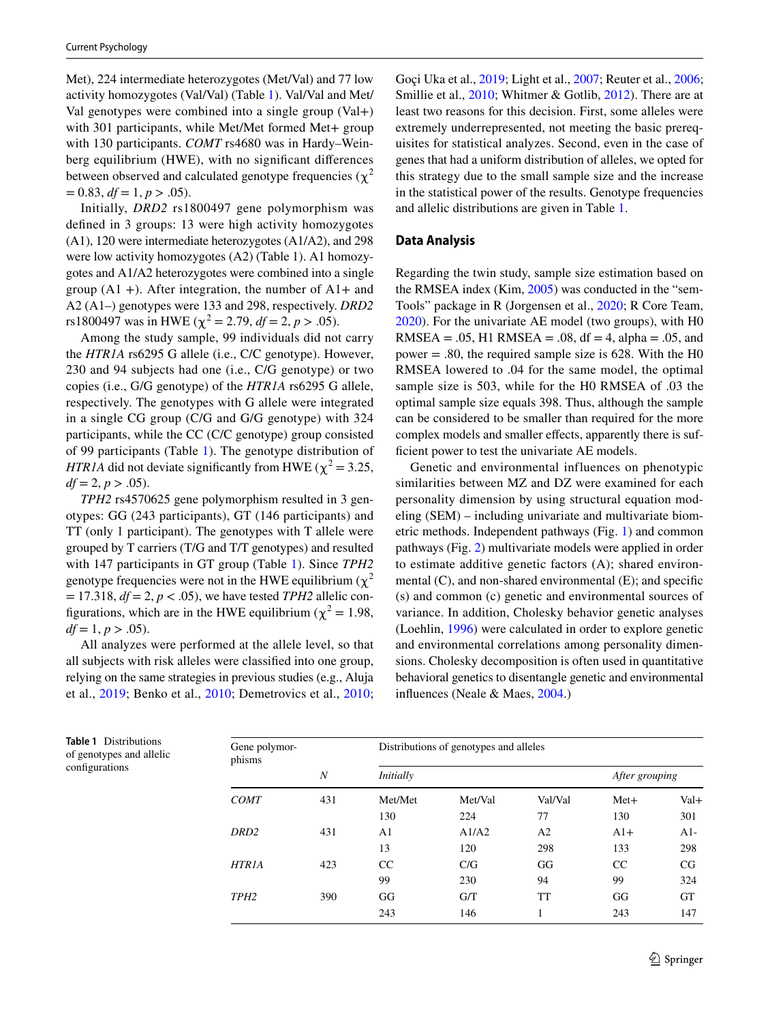Met), 224 intermediate heterozygotes (Met/Val) and 77 low activity homozygotes (Val/Val) (Table [1](#page-4-0)). Val/Val and Met/ Val genotypes were combined into a single group (Val+) with 301 participants, while Met/Met formed Met+ group with 130 participants. *COMT* rs4680 was in Hardy–Weinberg equilibrium (HWE), with no signifcant diferences between observed and calculated genotype frequencies ( $\chi^2$  $= 0.83, df = 1, p > .05$ .

Initially, *DRD2* rs1800497 gene polymorphism was defned in 3 groups: 13 were high activity homozygotes (A1), 120 were intermediate heterozygotes (A1/A2), and 298 were low activity homozygotes (A2) (Table 1). A1 homozygotes and A1/A2 heterozygotes were combined into a single group  $(A1 +)$ . After integration, the number of  $A1 +$  and A2 (A1–) genotypes were 133 and 298, respectively. *DRD2* rs1800497 was in HWE ( $\chi^2$  = 2.79,  $df$  = 2,  $p > .05$ ).

Among the study sample, 99 individuals did not carry the *HTR1A* rs6295 G allele (i.e., C/C genotype). However, 230 and 94 subjects had one (i.e., C/G genotype) or two copies (i.e., G/G genotype) of the *HTR1A* rs6295 G allele, respectively. The genotypes with G allele were integrated in a single CG group (C/G and G/G genotype) with 324 participants, while the CC (C/C genotype) group consisted of 99 participants (Table [1\)](#page-4-0). The genotype distribution of *HTR1A* did not deviate significantly from HWE ( $\chi^2$  = 3.25,  $df = 2, p > .05$ .

*TPH2* rs4570625 gene polymorphism resulted in 3 genotypes: GG (243 participants), GT (146 participants) and TT (only 1 participant). The genotypes with T allele were grouped by T carriers (T/G and T/T genotypes) and resulted with 147 participants in GT group (Table [1](#page-4-0)). Since *TPH2* genotype frequencies were not in the HWE equilibrium ( $\chi^2$ )  $= 17.318$ ,  $df = 2$ ,  $p < .05$ ), we have tested *TPH2* allelic configurations, which are in the HWE equilibrium ( $\chi^2$  = 1.98,  $df = 1, p > .05$ .

All analyzes were performed at the allele level, so that all subjects with risk alleles were classifed into one group, relying on the same strategies in previous studies (e.g., Aluja et al., [2019](#page-12-11); Benko et al., [2010](#page-12-10); Demetrovics et al., [2010](#page-12-13); Goçi Uka et al., [2019;](#page-12-15) Light et al., [2007;](#page-13-14) Reuter et al., [2006](#page-14-4); Smillie et al., [2010;](#page-14-8) Whitmer & Gotlib, [2012\)](#page-14-18). There are at least two reasons for this decision. First, some alleles were extremely underrepresented, not meeting the basic prerequisites for statistical analyzes. Second, even in the case of genes that had a uniform distribution of alleles, we opted for this strategy due to the small sample size and the increase in the statistical power of the results. Genotype frequencies and allelic distributions are given in Table [1](#page-4-0).

#### **Data Analysis**

Regarding the twin study, sample size estimation based on the RMSEA index (Kim, [2005](#page-13-24)) was conducted in the "sem-Tools" package in R (Jorgensen et al., [2020](#page-13-25); R Core Team, [2020](#page-14-23)). For the univariate AE model (two groups), with H0 RMSEA = .05, H1 RMSEA = .08, df = 4, alpha = .05, and power = .80, the required sample size is 628. With the H0 RMSEA lowered to .04 for the same model, the optimal sample size is 503, while for the H0 RMSEA of .03 the optimal sample size equals 398. Thus, although the sample can be considered to be smaller than required for the more complex models and smaller efects, apparently there is sufficient power to test the univariate AE models.

Genetic and environmental influences on phenotypic similarities between MZ and DZ were examined for each personality dimension by using structural equation modeling (SEM) – including univariate and multivariate biometric methods. Independent pathways (Fig. [1\)](#page-5-0) and common pathways (Fig. [2](#page-5-1)) multivariate models were applied in order to estimate additive genetic factors (A); shared environmental (C), and non-shared environmental (E); and specifc (s) and common (c) genetic and environmental sources of variance. In addition, Cholesky behavior genetic analyses (Loehlin, [1996](#page-13-26)) were calculated in order to explore genetic and environmental correlations among personality dimensions. Cholesky decomposition is often used in quantitative behavioral genetics to disentangle genetic and environmental infuences (Neale & Maes, [2004](#page-14-24).)

<span id="page-4-0"></span>

| <b>Table 1</b> Distributions<br>of genotypes and allelic | Gene polymor-<br>phisms | Di  |
|----------------------------------------------------------|-------------------------|-----|
| configurations                                           | N                       | Ini |

| Gene polymor-<br>phisms |     |                  | Distributions of genotypes and alleles |                |                |           |
|-------------------------|-----|------------------|----------------------------------------|----------------|----------------|-----------|
|                         | N   | <i>Initially</i> |                                        |                | After grouping |           |
| <b>COMT</b>             | 431 | Met/Met          | Met/Val                                | Val/Val        | $Met+$         | $Val+$    |
|                         |     | 130              | 224                                    | 77             | 130            | 301       |
| DRD <sub>2</sub>        | 431 | A1               | A1/A2                                  | A <sub>2</sub> | $A1+$          | $A1-$     |
|                         |     | 13               | 120                                    | 298            | 133            | 298       |
| <b>HTR1A</b>            | 423 | CC               | C/G                                    | GG             | CC             | CG        |
|                         |     | 99               | 230                                    | 94             | 99             | 324       |
| TPH <sub>2</sub>        | 390 | GG               | G/T                                    | TT             | GG             | <b>GT</b> |
|                         |     | 243              | 146                                    | 1              | 243            | 147       |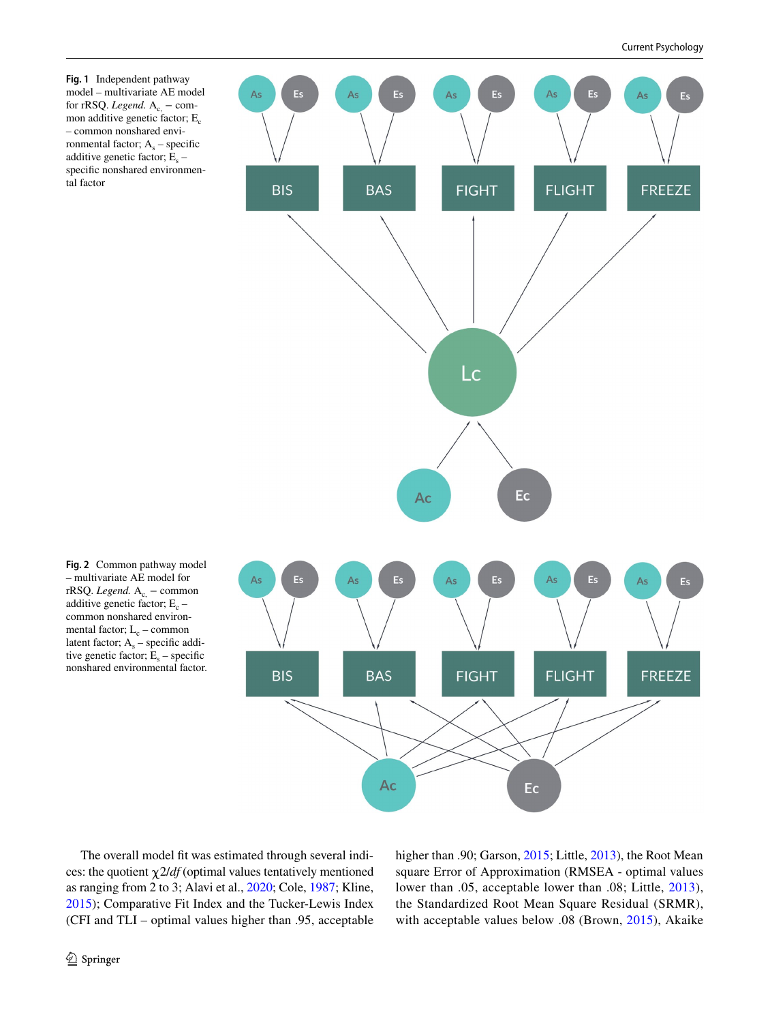<span id="page-5-0"></span>**Fig. 1** Independent pathway model – multivariate AE model for rRSQ. *Legend*.  $A_c$  – common additive genetic factor;  $E_c$ – common nonshared environmental factor;  $A_s$  – specific additive genetic factor;  $E<sub>s</sub>$  – specifc nonshared environmental factor



<span id="page-5-1"></span>**Fig. 2** Common pathway model – multivariate AE model for rRSQ. *Legend*. A<sub>c,</sub> − common additive genetic factor;  $E_c$  – common nonshared environmental factor;  $L_c$  – common latent factor;  $A_s$  – specific additive genetic factor;  $\mathbf{\tilde{E}}_s$  – specific nonshared environmental factor.

The overall model fit was estimated through several indices: the quotient  $\chi$  2/*df* (optimal values tentatively mentioned as ranging from 2 to 3; Alavi et al., [2020;](#page-12-19) Cole, [1987](#page-12-20); Kline, [2015](#page-13-27)); Comparative Fit Index and the Tucker-Lewis Index (CFI and TLI – optimal values higher than .95, acceptable higher than .90; Garson, [2015](#page-12-21); Little, [2013\)](#page-13-28), the Root Mean square Error of Approximation (RMSEA - optimal values lower than .05, acceptable lower than .08; Little, [2013](#page-13-28)), the Standardized Root Mean Square Residual (SRMR), with acceptable values below .08 (Brown, [2015\)](#page-12-18), Akaike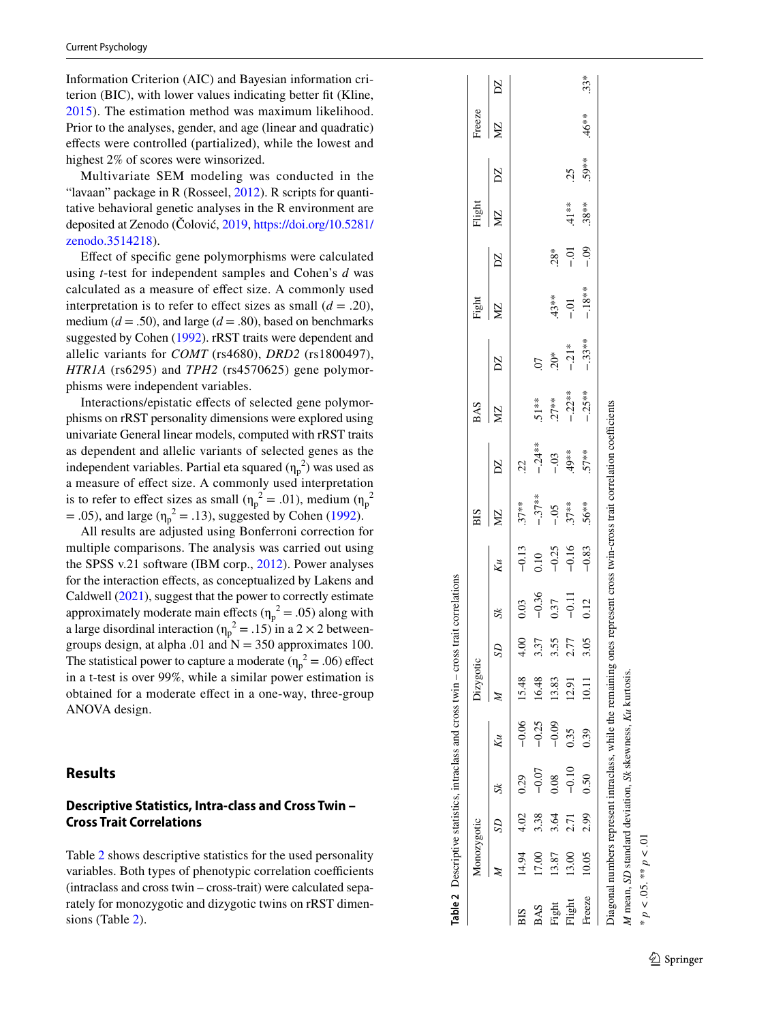Information Criterion (AIC) and Bayesian information cri terion (BIC), with lower values indicating better ft (Kline, [2015\)](#page-13-27). The estimation method was maximum likelihood. Prior to the analyses, gender, and age (linear and quadratic) efects were controlled (partialized), while the lowest and highest 2% of scores were winsorized.

Multivariate SEM modeling was conducted in the "lavaan" package in R (Rosseel, [2012](#page-14-22)). R scripts for quantitative behavioral genetic analyses in the R environment are deposited at Zenodo (Čolović, [2019,](#page-12-22) [https://doi.org/10.5281/](https://doi.org/10.5281/zenodo.3514218) [zenodo.3514218](https://doi.org/10.5281/zenodo.3514218)).

Efect of specifc gene polymorphisms were calculated using *t*-test for independent samples and Cohen's *d* was calculated as a measure of efect size. A commonly used interpretation is to refer to effect sizes as small  $(d = .20)$ , medium  $(d = .50)$ , and large  $(d = .80)$ , based on benchmarks suggested by Cohen [\(1992\)](#page-12-23). rRST traits were dependent and allelic variants for *COMT* (rs4680), *DRD2* (rs1800497), *HTR1A* (rs6295) and *TPH2* (rs4570625) gene polymor phisms were independent variables.

Interactions/epistatic efects of selected gene polymor phisms on rRST personality dimensions were explored using univariate General linear models, computed with rRST traits as dependent and allelic variants of selected genes as the independent variables. Partial eta squared  $(\eta_p^2)$  was used as a measure of efect size. A commonly used interpretation is to refer to effect sizes as small  $(\eta_p^2 = .01)$ , medium  $(\eta_p^2)$  $= .05$ ), and large ( $\eta_p^2 = .13$ ), suggested by Cohen ([1992\)](#page-12-23).

All results are adjusted using Bonferroni correction for multiple comparisons. The analysis was carried out using the SPSS v.21 software (IBM corp., [2012\)](#page-13-29). Power analyses for the interaction effects, as conceptualized by Lakens and Caldwell [\(2021\)](#page-13-30), suggest that the power to correctly estimate approximately moderate main effects  $(\eta_p^2 = .05)$  along with a large disordinal interaction ( $\eta_p^2 = .15$ ) in a 2 × 2 betweengroups design, at alpha .01 and  $N = 350$  approximates 100. The statistical power to capture a moderate ( $\eta_p^2 = .06$ ) effect in a t-test is over 99%, while a similar power estimation is obtained for a moderate efect in a one-way, three-group ANOVA design.

#### **Results**

# **Descriptive Statistics, Intra‑class and Cross Twin – Cross Trait Correlations**

Table [2](#page-6-0) shows descriptive statistics for the used personality variables. Both types of phenotypic correlation coefficients (intraclass and cross twin – cross-trait) were calculated sepa rately for monozygotic and dizygotic twins on rRST dimen sions (Table [2\)](#page-6-0).

|        | Monozygotic |                     |              |                   | Dizygotic          |      |         |                                       | BIS       |              | <b>BAS</b> |                | Fight            |        | Flight   |          | Freeze    |              |
|--------|-------------|---------------------|--------------|-------------------|--------------------|------|---------|---------------------------------------|-----------|--------------|------------|----------------|------------------|--------|----------|----------|-----------|--------------|
|        |             | SD                  | $\mathsf{K}$ | $K_{\mathcal{U}}$ |                    | SD   |         | Kи                                    | ΣÑ        | $\mathbf{Z}$ | ΣM         | $\mathbb{Z}$   | ΣÑ               | $\sum$ | ğ        | $\sum$   | <b>NZ</b> | $\mathbb{Z}$ |
| ВIS    |             | $14.94$ $4.02$ 0.29 |              |                   | $-0.06$ 15.48 4.00 |      | 0.03    |                                       | $.37***$  | 22           |            |                |                  |        |          |          |           |              |
| BAS    | 17.00       | 338                 |              | $-0.25$           | 16.48              | 3.37 | $-0.36$ |                                       | $-.37***$ | $-.24**$     | $51**$     | $\overline{0}$ |                  |        |          |          |           |              |
| Fight  | 13.87       | 3.64                | 0.08         | $-0.09$           | 13.83              | 3.55 | 0.37    | $-0.13$<br>0.10<br>$-0.25$<br>$-0.16$ | $-0.5$    | $-0.3$       | $.27***$   | $20*$          | $43**$           | $28*$  |          |          |           |              |
| Flight | 13.00       | 2.71                | $-0.10$      | 0.35              | 12.91              | 2.77 | $-0.11$ |                                       | $.37***$  | **67         | $-.22**$   | $-.21*$        | $\overline{c}$ . | ⊃ຸດ    | $41**$   | 25       |           |              |
| Freeze | 10.05       | 2.99                | 0.50         | 0.39              | 10.11              | 3.05 | 0.12    | $-0.83$                               | $.56***$  | $57**$       | $-.25**$   | $-.33**$       | $-.18**$         | $-0.9$ | $.38***$ | $.59***$ | $46**$    | $33*$        |

## <span id="page-6-0"></span> $\mathcal{D}$  Springer

\* *p <* .05. \*\* *p < .*01

\*  $p < 0.05$ . \*\*  $p < 0.01$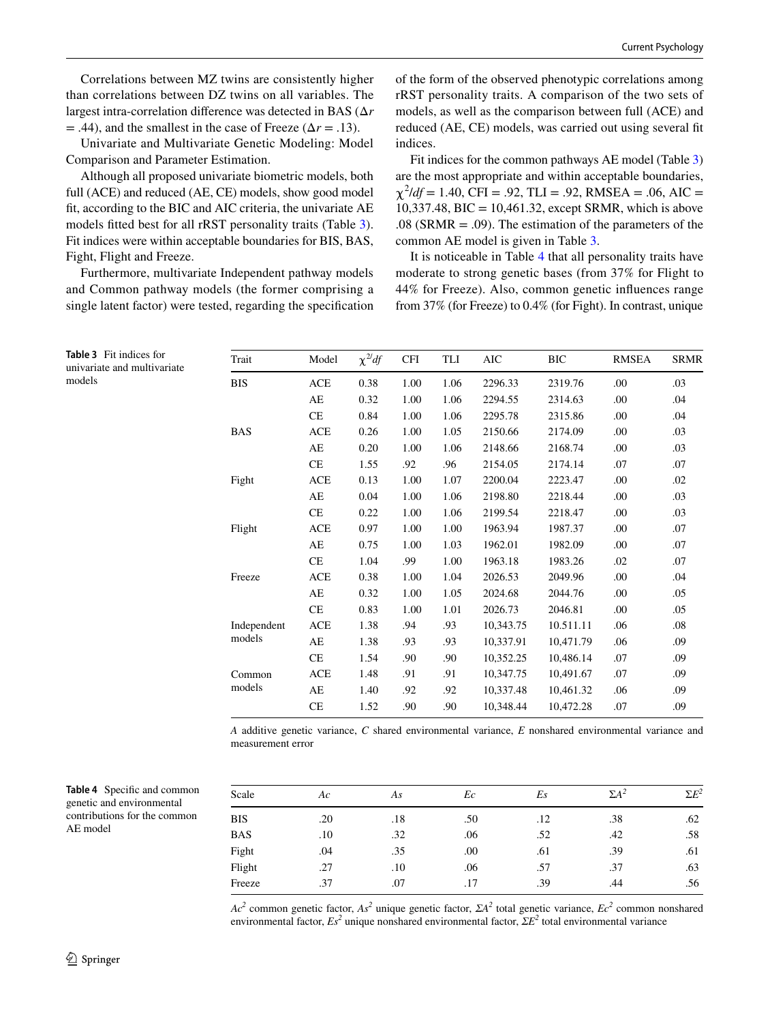Correlations between MZ twins are consistently higher than correlations between DZ twins on all variables. The largest intra-correlation diference was detected in BAS (Δ*r*  $=$  .44), and the smallest in the case of Freeze ( $\Delta r = .13$ ).

Univariate and Multivariate Genetic Modeling: Model Comparison and Parameter Estimation.

Although all proposed univariate biometric models, both full (ACE) and reduced (AE, CE) models, show good model ft, according to the BIC and AIC criteria, the univariate AE models ftted best for all rRST personality traits (Table [3](#page-7-0)). Fit indices were within acceptable boundaries for BIS, BAS, Fight, Flight and Freeze.

Furthermore, multivariate Independent pathway models and Common pathway models (the former comprising a single latent factor) were tested, regarding the specifcation of the form of the observed phenotypic correlations among rRST personality traits. A comparison of the two sets of models, as well as the comparison between full (ACE) and reduced (AE, CE) models, was carried out using several ft indices.

Fit indices for the common pathways AE model (Table [3\)](#page-7-0) are the most appropriate and within acceptable boundaries,  $\chi^2$ /*df* = 1.40, CFI = .92, TLI = .92, RMSEA = .06, AIC =  $10,337.48$ , BIC =  $10,461.32$ , except SRMR, which is above .08 (SRMR  $=$  .09). The estimation of the parameters of the common AE model is given in Table [3.](#page-7-0)

It is noticeable in Table [4](#page-7-1) that all personality traits have moderate to strong genetic bases (from 37% for Flight to 44% for Freeze). Also, common genetic infuences range from 37% (for Freeze) to 0.4% (for Fight). In contrast, unique

| Trait       | Model      | $\chi^2 df$ | <b>CFI</b> | TLI  | <b>AIC</b> | <b>BIC</b> | <b>RMSEA</b> | <b>SRMR</b> |
|-------------|------------|-------------|------------|------|------------|------------|--------------|-------------|
| <b>BIS</b>  | ACE        | 0.38        | 1.00       | 1.06 | 2296.33    | 2319.76    | .00          | .03         |
|             | AE         | 0.32        | 1.00       | 1.06 | 2294.55    | 2314.63    | .00          | .04         |
|             | <b>CE</b>  | 0.84        | 1.00       | 1.06 | 2295.78    | 2315.86    | .00          | .04         |
| <b>BAS</b>  | <b>ACE</b> | 0.26        | 1.00       | 1.05 | 2150.66    | 2174.09    | .00          | .03         |
|             | AE         | 0.20        | 1.00       | 1.06 | 2148.66    | 2168.74    | .00          | .03         |
|             | CE         | 1.55        | .92        | .96  | 2154.05    | 2174.14    | .07          | .07         |
| Fight       | <b>ACE</b> | 0.13        | 1.00       | 1.07 | 2200.04    | 2223.47    | .00          | .02         |
|             | AE         | 0.04        | 1.00       | 1.06 | 2198.80    | 2218.44    | .00          | .03         |
|             | <b>CE</b>  | 0.22        | 1.00       | 1.06 | 2199.54    | 2218.47    | .00          | .03         |
| Flight      | <b>ACE</b> | 0.97        | 1.00       | 1.00 | 1963.94    | 1987.37    | .00          | .07         |
|             | AE         | 0.75        | 1.00       | 1.03 | 1962.01    | 1982.09    | .00          | .07         |
|             | <b>CE</b>  | 1.04        | .99        | 1.00 | 1963.18    | 1983.26    | .02          | .07         |
| Freeze      | <b>ACE</b> | 0.38        | 1.00       | 1.04 | 2026.53    | 2049.96    | .00          | .04         |
|             | AE         | 0.32        | 1.00       | 1.05 | 2024.68    | 2044.76    | .00          | .05         |
|             | CE         | 0.83        | 1.00       | 1.01 | 2026.73    | 2046.81    | .00          | .05         |
| Independent | <b>ACE</b> | 1.38        | .94        | .93  | 10.343.75  | 10.511.11  | .06          | .08         |
| models      | AE         | 1.38        | .93        | .93  | 10,337.91  | 10.471.79  | .06          | .09         |
|             | <b>CE</b>  | 1.54        | .90        | .90  | 10,352.25  | 10.486.14  | .07          | .09         |
| Common      | ACE        | 1.48        | .91        | .91  | 10,347.75  | 10,491.67  | .07          | .09         |
| models      | AE         | 1.40        | .92        | .92  | 10,337.48  | 10,461.32  | .06          | .09         |
|             | <b>CE</b>  | 1.52        | .90        | .90  | 10.348.44  | 10.472.28  | .07          | .09         |
|             |            |             |            |      |            |            |              |             |

*A* additive genetic variance, *C* shared environmental variance, *E* nonshared environmental variance and measurement error

<span id="page-7-1"></span>

| <b>Table 4</b> Specific and common |
|------------------------------------|
| genetic and environmental          |
| contributions for the common       |
| AE model                           |

<span id="page-7-0"></span>**Table 3** Fit indices for univariate and multivariate

models

| Scale      | Ac  | As  | Ec  | Es  | $\Sigma A^2$ | $\Sigma E^2$ |
|------------|-----|-----|-----|-----|--------------|--------------|
| <b>BIS</b> | .20 | .18 | .50 | .12 | .38          | .62          |
| <b>BAS</b> | .10 | .32 | .06 | .52 | .42          | .58          |
| Fight      | .04 | .35 | .00 | .61 | .39          | .61          |
| Flight     | .27 | .10 | .06 | .57 | .37          | .63          |
| Freeze     | .37 | .07 | .17 | .39 | .44          | .56          |

*Ac*<sup>2</sup> common genetic factor, *As*<sup>2</sup> unique genetic factor, *ΣA*<sup>2</sup> total genetic variance, *Ec*<sup>2</sup> common nonshared environmental factor, *Es2* unique nonshared environmental factor, *ΣE2* total environmental variance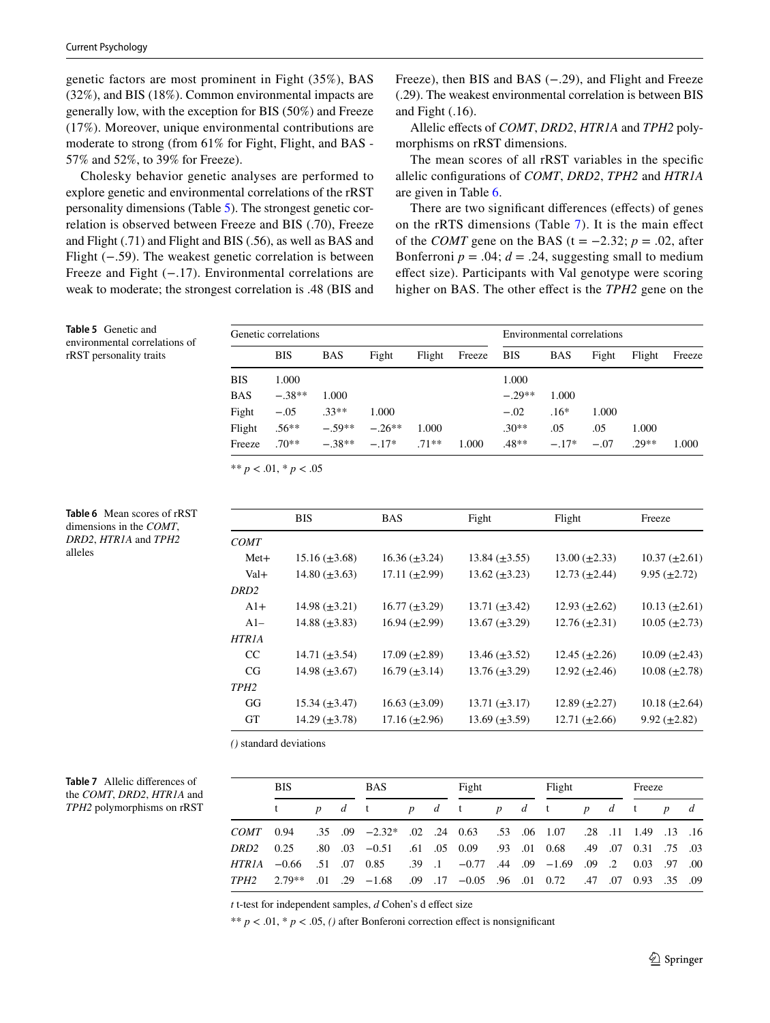<span id="page-8-0"></span>**Table 5** Genetic and environmental correlations of rRST personality traits

<span id="page-8-1"></span>**Table 6** Mean scores of rRST dimensions in the *COMT*, *DRD2*, *HTR1A* and *TPH2*

alleles

genetic factors are most prominent in Fight (35%), BAS (32%), and BIS (18%). Common environmental impacts are generally low, with the exception for BIS (50%) and Freeze (17%). Moreover, unique environmental contributions are moderate to strong (from 61% for Fight, Flight, and BAS - 57% and 52%, to 39% for Freeze).

Cholesky behavior genetic analyses are performed to explore genetic and environmental correlations of the rRST personality dimensions (Table [5\)](#page-8-0). The strongest genetic correlation is observed between Freeze and BIS (.70), Freeze and Flight (.71) and Flight and BIS (.56), as well as BAS and Flight (−.59). The weakest genetic correlation is between Freeze and Fight (−.17). Environmental correlations are weak to moderate; the strongest correlation is .48 (BIS and Freeze), then BIS and BAS (−.29), and Flight and Freeze (.29). The weakest environmental correlation is between BIS and Fight (.16).

Allelic efects of *COMT*, *DRD2*, *HTR1A* and *TPH2* polymorphisms on rRST dimensions.

The mean scores of all rRST variables in the specifc allelic confgurations of *COMT*, *DRD2*, *TPH2* and *HTR1A* are given in Table [6.](#page-8-1)

There are two significant differences (effects) of genes on the rRTS dimensions (Table [7\)](#page-8-2). It is the main efect of the *COMT* gene on the BAS (t =  $-2.32$ ;  $p = .02$ , after Bonferroni  $p = .04$ ;  $d = .24$ , suggesting small to medium efect size). Participants with Val genotype were scoring higher on BAS. The other efect is the *TPH2* gene on the

|            | Genetic correlations |            |          |        |        |            | Environmental correlations |        |         |        |
|------------|----------------------|------------|----------|--------|--------|------------|----------------------------|--------|---------|--------|
|            | <b>BIS</b>           | <b>BAS</b> | Fight    | Flight | Freeze | <b>BIS</b> | <b>BAS</b>                 | Fight  | Flight  | Freeze |
| <b>BIS</b> | 1.000                |            |          |        |        | 1.000      |                            |        |         |        |
| <b>BAS</b> | $-.38**$             | 1.000      |          |        |        | $-.29**$   | 1.000                      |        |         |        |
| Fight      | $-.05$               | $.33**$    | 1.000    |        |        | $-.02$     | $.16*$                     | 1.000  |         |        |
| Flight     | $.56**$              | $-59**$    | $-.26**$ | 1.000  |        | $.30**$    | .05                        | .05    | 1.000   |        |
| Freeze     | $70**$               | $-38**$    | $-.17*$  | $71**$ | 1.000  | $.48**$    | $-.17*$                    | $-.07$ | $.29**$ | 1.000  |

\*\* *p* < .01, \* *p* < .05

|                  | <b>BIS</b>           | <b>BAS</b>           | Fight                | Flight               | Freeze               |
|------------------|----------------------|----------------------|----------------------|----------------------|----------------------|
| <b>COMT</b>      |                      |                      |                      |                      |                      |
| $Met+$           | $15.16 \ (\pm 3.68)$ | $16.36 \ (\pm 3.24)$ | $13.84 \ (\pm 3.55)$ | $13.00 \ (\pm 2.33)$ | $10.37 \ (\pm 2.61)$ |
| Val+             | $14.80 \ (\pm 3.63)$ | $17.11 \ (\pm 2.99)$ | $13.62 \ (\pm 3.23)$ | $12.73 \ (\pm 2.44)$ | $9.95 \ (\pm 2.72)$  |
| DRD <sub>2</sub> |                      |                      |                      |                      |                      |
| $A1+$            | 14.98 $(\pm 3.21)$   | $16.77 \ (\pm 3.29)$ | $13.71 \ (\pm 3.42)$ | 12.93 $(\pm 2.62)$   | 10.13 $(\pm 2.61)$   |
| $A1-$            | 14.88 $(\pm 3.83)$   | $16.94 \ (\pm 2.99)$ | $13.67 \ (\pm 3.29)$ | $12.76 \ (\pm 2.31)$ | $10.05 \ (\pm 2.73)$ |
| HTR1A            |                      |                      |                      |                      |                      |
| CC               | 14.71 $(\pm 3.54)$   | $17.09 \ (\pm 2.89)$ | $13.46 \ (\pm 3.52)$ | $12.45 \ (\pm 2.26)$ | $10.09 \ (\pm 2.43)$ |
| CG               | 14.98 $(\pm 3.67)$   | $16.79 \ (\pm 3.14)$ | $13.76 \ (\pm 3.29)$ | $12.92 \ (\pm 2.46)$ | $10.08 \ (\pm 2.78)$ |
| TPH <sub>2</sub> |                      |                      |                      |                      |                      |
| GG               | $15.34 \ (\pm 3.47)$ | $16.63 \ (\pm 3.09)$ | 13.71 $(\pm 3.17)$   | 12.89 $(\pm 2.27)$   | $10.18 \ (\pm 2.64)$ |
| <b>GT</b>        | $14.29 \ (\pm 3.78)$ | $17.16 \ (\pm 2.96)$ | $13.69 \ (\pm 3.59)$ | $12.71 \ (\pm 2.66)$ | $9.92 \ (\pm 2.82)$  |

*()* standard deviations

<span id="page-8-2"></span>

| Table 7 Allelic differences of |
|--------------------------------|
| the COMT, DRD2, HTR1A and      |
| TPH2 polymorphisms on rRST     |

|               | <b>BIS</b> |  | <b>BAS</b>                                                                    |  | Fight |  | Flight |  | Freeze |       |  |
|---------------|------------|--|-------------------------------------------------------------------------------|--|-------|--|--------|--|--------|-------|--|
|               |            |  | pd tpd tpd tpd tpd t                                                          |  |       |  |        |  |        | $p$ d |  |
| $COMT = 0.94$ |            |  | .16 .19 .13 .14 .14 .13 .16 .107 .28 .11 .149 .13 .16                         |  |       |  |        |  |        |       |  |
| DRD2          | 0.25       |  | .80 .03 .05 .05 .09 .03 .01 .068 .49 .07 .03 .03 .09 .03 .09                  |  |       |  |        |  |        |       |  |
|               |            |  | 00. 97. 00 1.69 0.2 0.03 0.9 -1.69 0.44 0.9 -1.69 0.03 0.51 0.66 1.07 0.85    |  |       |  |        |  |        |       |  |
|               |            |  | 09. 35. 99 07 0.93. 17 0.05 0.94 0.05 0.95 0.95 0.97 0.04 0.17 0.05 0.94 0.72 |  |       |  |        |  |        |       |  |

*t* t-test for independent samples, *d* Cohen's d efect size

\*\*  $p < .01$ , \*  $p < .05$ , () after Bonferoni correction effect is nonsignificant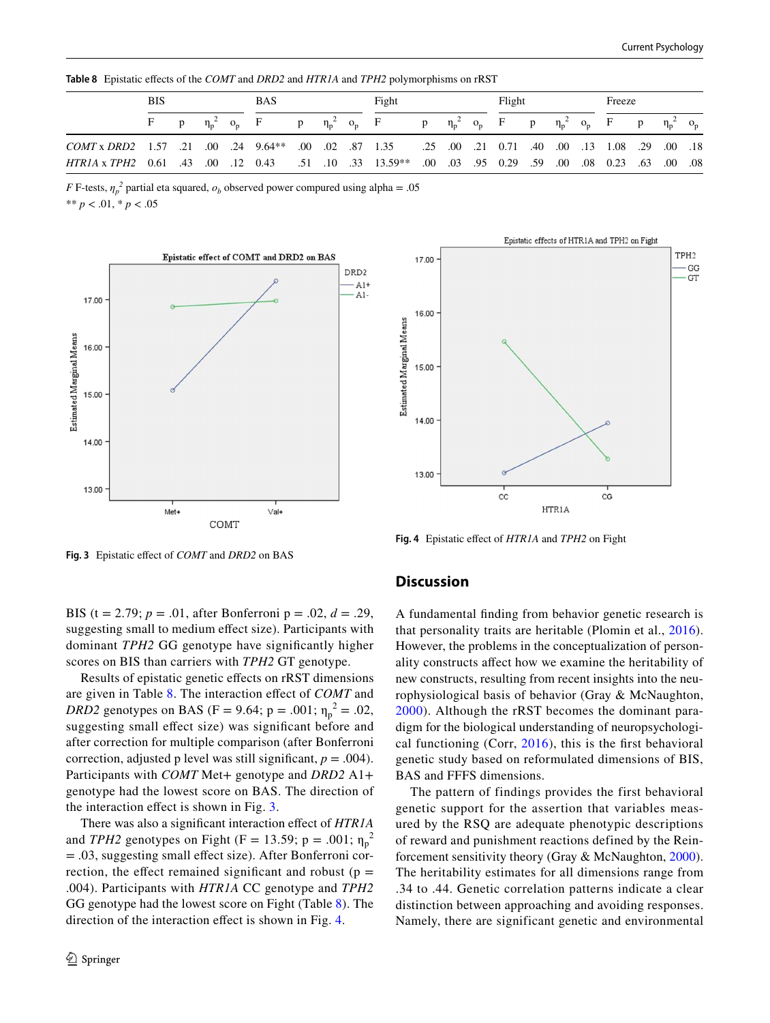<span id="page-9-0"></span>**Table 8** Epistatic efects of the *COMT* and *DRD2* and *HTR1A* and *TPH2* polymorphisms on rRST

|                                                                                                                 | <b>BIS</b> |  | <b>BAS</b>                    |   |  | Fight                       |   |  | Flight                                                      |  | Freeze |                        |       |
|-----------------------------------------------------------------------------------------------------------------|------------|--|-------------------------------|---|--|-----------------------------|---|--|-------------------------------------------------------------|--|--------|------------------------|-------|
|                                                                                                                 |            |  | $p \eta_p^2$ o <sub>p</sub> F | p |  | $\eta_p^2$ o <sub>p</sub> F | p |  | $\eta_p^2$ o <sub>p</sub> F p $\eta_p^2$ o <sub>p</sub> F p |  |        | $\eta_{\rm p}^{\;\;2}$ | $O_p$ |
| 18. 00. 29. 1.08 1.3 1.08 1.40 1.01 1.35 1.09 1.35 1.35 1.35 0.0 1.36 1.44 1.57 1.35 0.00 1.3 1.08 1.57 COMT x  |            |  |                               |   |  |                             |   |  |                                                             |  |        |                        |       |
| 00. 00. 63. 02. 03. 00. 00. 59. 029. 029. 10. **\$13.59 13.59 13.59 13.59 10. 43. 0. 12. 0.43. 00. HTRIA x TPH2 |            |  |                               |   |  |                             |   |  |                                                             |  |        |                        |       |

*F* F-tests,  $\eta_p^2$  partial eta squared,  $o_b$  observed power compured using alpha = .05

\*\* *p* < .01, \* *p* < .05





<span id="page-9-2"></span>**Fig. 4** Epistatic efect of *HTR1A* and *TPH2* on Fight

<span id="page-9-1"></span>**Fig. 3** Epistatic efect of *COMT* and *DRD2* on BAS

BIS (t = 2.79; *p* = .01, after Bonferroni p = .02, *d* = .29, suggesting small to medium efect size). Participants with dominant *TPH2* GG genotype have signifcantly higher scores on BIS than carriers with *TPH2* GT genotype.

Results of epistatic genetic efects on rRST dimensions are given in Table [8](#page-9-0). The interaction efect of *COMT* and *DRD2* genotypes on BAS (F = 9.64; p = .001;  $\eta_p^2$  = .02, suggesting small effect size) was significant before and after correction for multiple comparison (after Bonferroni correction, adjusted p level was still significant,  $p = .004$ ). Participants with *COMT* Met+ genotype and *DRD2* A1+ genotype had the lowest score on BAS. The direction of the interaction efect is shown in Fig. [3.](#page-9-1)

There was also a signifcant interaction efect of *HTR1A* and *TPH2* genotypes on Fight (F = 13.59; p = .001;  $\eta_p^2$ = .03, suggesting small efect size). After Bonferroni correction, the effect remained significant and robust ( $p =$ .004). Participants with *HTR1A* CC genotype and *TPH2* GG genotype had the lowest score on Fight (Table [8\)](#page-9-0). The direction of the interaction efect is shown in Fig. [4.](#page-9-2)

## **Discussion**

A fundamental fnding from behavior genetic research is that personality traits are heritable (Plomin et al., [2016](#page-14-25)). However, the problems in the conceptualization of personality constructs afect how we examine the heritability of new constructs, resulting from recent insights into the neurophysiological basis of behavior (Gray & McNaughton, [2000](#page-13-0)). Although the rRST becomes the dominant paradigm for the biological understanding of neuropsychological functioning (Corr, [2016\)](#page-12-24), this is the frst behavioral genetic study based on reformulated dimensions of BIS, BAS and FFFS dimensions.

The pattern of findings provides the first behavioral genetic support for the assertion that variables measured by the RSQ are adequate phenotypic descriptions of reward and punishment reactions defined by the Reinforcement sensitivity theory (Gray & McNaughton, [2000](#page-13-0)). The heritability estimates for all dimensions range from .34 to .44. Genetic correlation patterns indicate a clear distinction between approaching and avoiding responses. Namely, there are significant genetic and environmental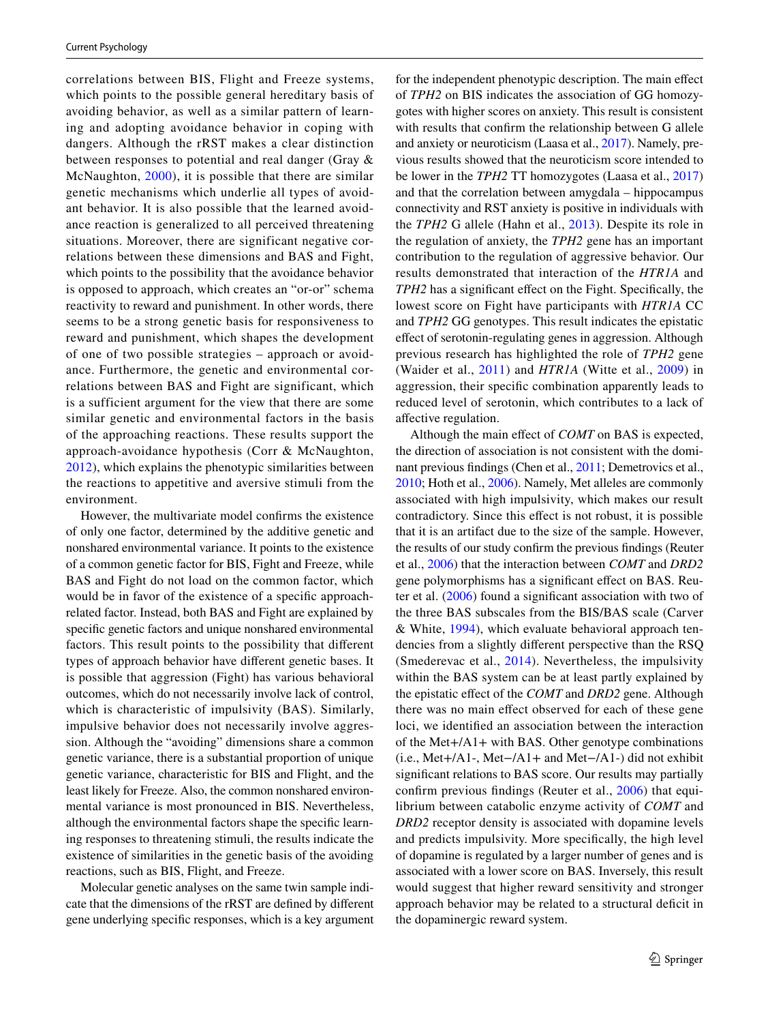correlations between BIS, Flight and Freeze systems, which points to the possible general hereditary basis of avoiding behavior, as well as a similar pattern of learning and adopting avoidance behavior in coping with dangers. Although the rRST makes a clear distinction between responses to potential and real danger (Gray & McNaughton, [2000](#page-13-0)), it is possible that there are similar genetic mechanisms which underlie all types of avoidant behavior. It is also possible that the learned avoidance reaction is generalized to all perceived threatening situations. Moreover, there are significant negative correlations between these dimensions and BAS and Fight, which points to the possibility that the avoidance behavior is opposed to approach, which creates an "or-or" schema reactivity to reward and punishment. In other words, there seems to be a strong genetic basis for responsiveness to reward and punishment, which shapes the development of one of two possible strategies – approach or avoidance. Furthermore, the genetic and environmental correlations between BAS and Fight are significant, which is a sufficient argument for the view that there are some similar genetic and environmental factors in the basis of the approaching reactions. These results support the approach-avoidance hypothesis (Corr & McNaughton, [2012\)](#page-12-0), which explains the phenotypic similarities between the reactions to appetitive and aversive stimuli from the environment.

However, the multivariate model confrms the existence of only one factor, determined by the additive genetic and nonshared environmental variance. It points to the existence of a common genetic factor for BIS, Fight and Freeze, while BAS and Fight do not load on the common factor, which would be in favor of the existence of a specifc approachrelated factor. Instead, both BAS and Fight are explained by specifc genetic factors and unique nonshared environmental factors. This result points to the possibility that diferent types of approach behavior have diferent genetic bases. It is possible that aggression (Fight) has various behavioral outcomes, which do not necessarily involve lack of control, which is characteristic of impulsivity (BAS). Similarly, impulsive behavior does not necessarily involve aggression. Although the "avoiding" dimensions share a common genetic variance, there is a substantial proportion of unique genetic variance, characteristic for BIS and Flight, and the least likely for Freeze. Also, the common nonshared environmental variance is most pronounced in BIS. Nevertheless, although the environmental factors shape the specifc learning responses to threatening stimuli, the results indicate the existence of similarities in the genetic basis of the avoiding reactions, such as BIS, Flight, and Freeze.

Molecular genetic analyses on the same twin sample indicate that the dimensions of the rRST are defned by diferent gene underlying specifc responses, which is a key argument for the independent phenotypic description. The main efect of *TPH2* on BIS indicates the association of GG homozygotes with higher scores on anxiety. This result is consistent with results that confrm the relationship between G allele and anxiety or neuroticism (Laasa et al., [2017](#page-13-19)). Namely, previous results showed that the neuroticism score intended to be lower in the *TPH2* TT homozygotes (Laasa et al., [2017\)](#page-13-19) and that the correlation between amygdala – hippocampus connectivity and RST anxiety is positive in individuals with the *TPH2* G allele (Hahn et al., [2013\)](#page-13-21). Despite its role in the regulation of anxiety, the *TPH2* gene has an important contribution to the regulation of aggressive behavior. Our results demonstrated that interaction of the *HTR1A* and *TPH2* has a significant effect on the Fight. Specifically, the lowest score on Fight have participants with *HTR1A* CC and *TPH2* GG genotypes. This result indicates the epistatic efect of serotonin-regulating genes in aggression. Although previous research has highlighted the role of *TPH2* gene (Waider et al., [2011](#page-14-17)) and *HTR1A* (Witte et al., [2009](#page-14-15)) in aggression, their specifc combination apparently leads to reduced level of serotonin, which contributes to a lack of afective regulation.

Although the main efect of *COMT* on BAS is expected, the direction of association is not consistent with the dominant previous fndings (Chen et al., [2011](#page-12-7); Demetrovics et al., [2010](#page-12-13); Hoth et al., [2006](#page-13-11)). Namely, Met alleles are commonly associated with high impulsivity, which makes our result contradictory. Since this efect is not robust, it is possible that it is an artifact due to the size of the sample. However, the results of our study confrm the previous fndings (Reuter et al., [2006\)](#page-14-4) that the interaction between *COMT* and *DRD2* gene polymorphisms has a significant effect on BAS. Reuter et al. [\(2006\)](#page-14-4) found a signifcant association with two of the three BAS subscales from the BIS/BAS scale (Carver & White, [1994](#page-12-2)), which evaluate behavioral approach tendencies from a slightly diferent perspective than the RSQ (Smederevac et al., [2014](#page-14-0)). Nevertheless, the impulsivity within the BAS system can be at least partly explained by the epistatic efect of the *COMT* and *DRD2* gene. Although there was no main efect observed for each of these gene loci, we identifed an association between the interaction of the Met+/A1+ with BAS. Other genotype combinations (i.e., Met+/A1-, Met−/A1+ and Met−/A1-) did not exhibit signifcant relations to BAS score. Our results may partially confrm previous fndings (Reuter et al., [2006\)](#page-14-4) that equilibrium between catabolic enzyme activity of *COMT* and *DRD2* receptor density is associated with dopamine levels and predicts impulsivity. More specifcally, the high level of dopamine is regulated by a larger number of genes and is associated with a lower score on BAS. Inversely, this result would suggest that higher reward sensitivity and stronger approach behavior may be related to a structural deficit in the dopaminergic reward system.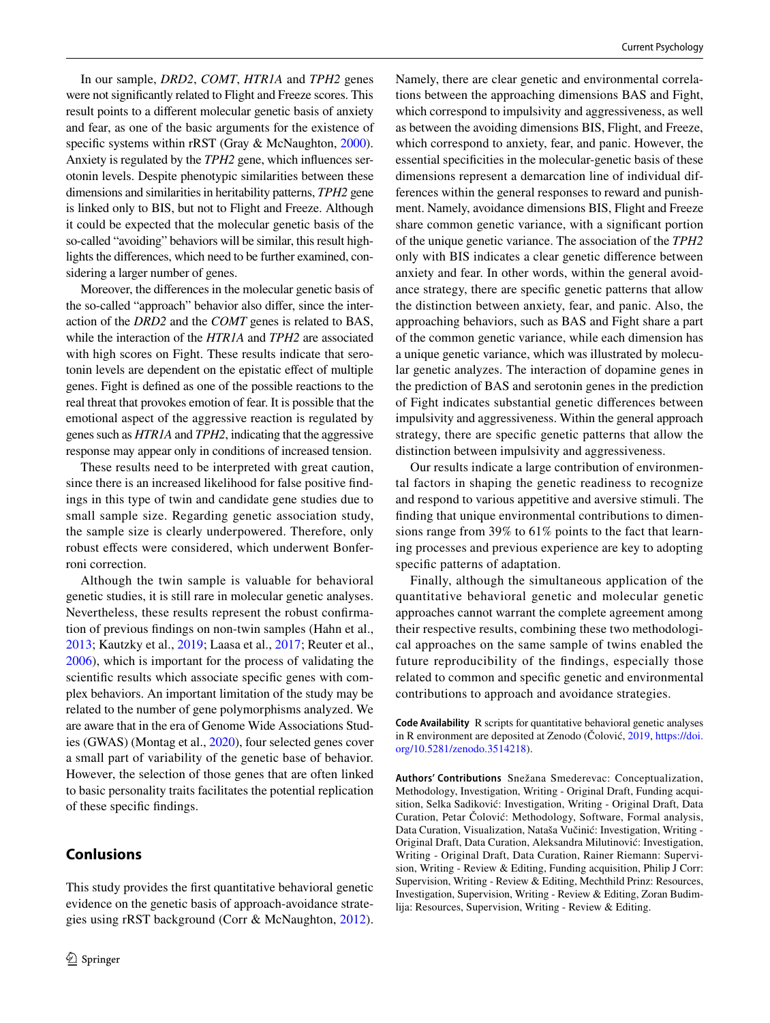In our sample, *DRD2*, *COMT*, *HTR1A* and *TPH2* genes were not signifcantly related to Flight and Freeze scores. This result points to a diferent molecular genetic basis of anxiety and fear, as one of the basic arguments for the existence of specific systems within rRST (Gray & McNaughton, [2000](#page-13-0)). Anxiety is regulated by the *TPH2* gene, which infuences serotonin levels. Despite phenotypic similarities between these dimensions and similarities in heritability patterns, *TPH2* gene is linked only to BIS, but not to Flight and Freeze. Although it could be expected that the molecular genetic basis of the so-called "avoiding" behaviors will be similar, this result highlights the diferences, which need to be further examined, considering a larger number of genes.

Moreover, the diferences in the molecular genetic basis of the so-called "approach" behavior also difer, since the interaction of the *DRD2* and the *COMT* genes is related to BAS, while the interaction of the *HTR1A* and *TPH2* are associated with high scores on Fight. These results indicate that serotonin levels are dependent on the epistatic efect of multiple genes. Fight is defned as one of the possible reactions to the real threat that provokes emotion of fear. It is possible that the emotional aspect of the aggressive reaction is regulated by genes such as *HTR1A* and *TPH2*, indicating that the aggressive response may appear only in conditions of increased tension.

These results need to be interpreted with great caution, since there is an increased likelihood for false positive fndings in this type of twin and candidate gene studies due to small sample size. Regarding genetic association study, the sample size is clearly underpowered. Therefore, only robust efects were considered, which underwent Bonferroni correction.

Although the twin sample is valuable for behavioral genetic studies, it is still rare in molecular genetic analyses. Nevertheless, these results represent the robust confrmation of previous fndings on non-twin samples (Hahn et al., [2013](#page-13-21); Kautzky et al., [2019](#page-13-18); Laasa et al., [2017;](#page-13-19) Reuter et al., [2006](#page-14-4)), which is important for the process of validating the scientifc results which associate specifc genes with complex behaviors. An important limitation of the study may be related to the number of gene polymorphisms analyzed. We are aware that in the era of Genome Wide Associations Studies (GWAS) (Montag et al., [2020\)](#page-13-31), four selected genes cover a small part of variability of the genetic base of behavior. However, the selection of those genes that are often linked to basic personality traits facilitates the potential replication of these specifc fndings.

# **Conlusions**

This study provides the frst quantitative behavioral genetic evidence on the genetic basis of approach-avoidance strategies using rRST background (Corr & McNaughton, [2012](#page-12-0)).

Namely, there are clear genetic and environmental correlations between the approaching dimensions BAS and Fight, which correspond to impulsivity and aggressiveness, as well as between the avoiding dimensions BIS, Flight, and Freeze, which correspond to anxiety, fear, and panic. However, the essential specifcities in the molecular-genetic basis of these dimensions represent a demarcation line of individual differences within the general responses to reward and punishment. Namely, avoidance dimensions BIS, Flight and Freeze share common genetic variance, with a signifcant portion of the unique genetic variance. The association of the *TPH2* only with BIS indicates a clear genetic diference between anxiety and fear. In other words, within the general avoidance strategy, there are specifc genetic patterns that allow the distinction between anxiety, fear, and panic. Also, the approaching behaviors, such as BAS and Fight share a part of the common genetic variance, while each dimension has a unique genetic variance, which was illustrated by molecular genetic analyzes. The interaction of dopamine genes in the prediction of BAS and serotonin genes in the prediction of Fight indicates substantial genetic diferences between impulsivity and aggressiveness. Within the general approach strategy, there are specifc genetic patterns that allow the distinction between impulsivity and aggressiveness.

Our results indicate a large contribution of environmental factors in shaping the genetic readiness to recognize and respond to various appetitive and aversive stimuli. The fnding that unique environmental contributions to dimensions range from 39% to 61% points to the fact that learning processes and previous experience are key to adopting specifc patterns of adaptation.

Finally, although the simultaneous application of the quantitative behavioral genetic and molecular genetic approaches cannot warrant the complete agreement among their respective results, combining these two methodological approaches on the same sample of twins enabled the future reproducibility of the fndings, especially those related to common and specifc genetic and environmental contributions to approach and avoidance strategies.

**Code Availability** R scripts for quantitative behavioral genetic analyses in R environment are deposited at Zenodo (Čolović, [2019](#page-12-22), [https://doi.](https://doi.org/10.5281/zenodo.3514218) [org/10.5281/zenodo.3514218](https://doi.org/10.5281/zenodo.3514218)).

**Authors' Contributions** Snežana Smederevac: Conceptualization, Methodology, Investigation, Writing - Original Draft, Funding acquisition, Selka Sadiković: Investigation, Writing - Original Draft, Data Curation, Petar Čolović: Methodology, Software, Formal analysis, Data Curation, Visualization, Nataša Vučinić: Investigation, Writing - Original Draft, Data Curation, Aleksandra Milutinović: Investigation, Writing - Original Draft, Data Curation, Rainer Riemann: Supervision, Writing - Review & Editing, Funding acquisition, Philip J Corr: Supervision, Writing - Review & Editing, Mechthild Prinz: Resources, Investigation, Supervision, Writing - Review & Editing, Zoran Budimlija: Resources, Supervision, Writing - Review & Editing.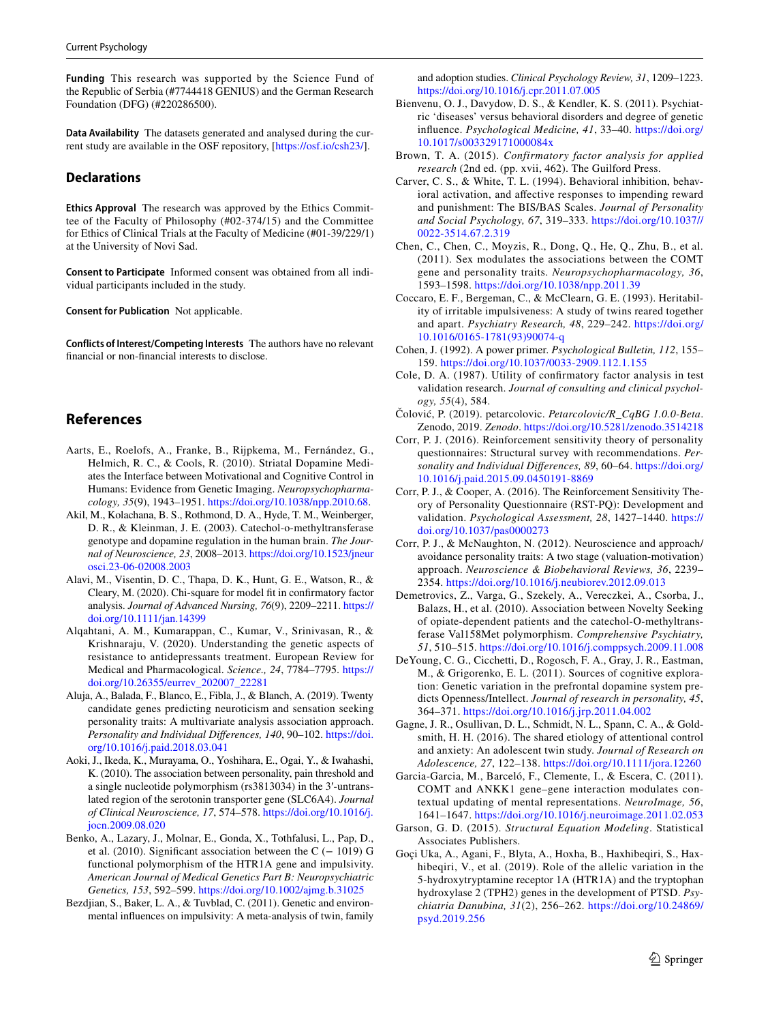**Funding** This research was supported by the Science Fund of the Republic of Serbia (#7744418 GENIUS) and the German Research Foundation (DFG) (#220286500).

**Data Availability** The datasets generated and analysed during the current study are available in the OSF repository, [\[https://osf.io/csh23/](https://osf.io/csh23/)].

## **Declarations**

**Ethics Approval** The research was approved by the Ethics Committee of the Faculty of Philosophy (#02-374/15) and the Committee for Ethics of Clinical Trials at the Faculty of Medicine (#01-39/229/1) at the University of Novi Sad.

**Consent to Participate** Informed consent was obtained from all individual participants included in the study.

**Consent for Publication** Not applicable.

**Conflicts of Interest/Competing Interests** The authors have no relevant fnancial or non-fnancial interests to disclose.

## **References**

- <span id="page-12-16"></span>Aarts, E., Roelofs, A., Franke, B., Rijpkema, M., Fernández, G., Helmich, R. C., & Cools, R. (2010). Striatal Dopamine Mediates the Interface between Motivational and Cognitive Control in Humans: Evidence from Genetic Imaging. *Neuropsychopharmacology, 35*(9), 1943–1951. [https://doi.org/10.1038/npp.2010.68.](https://doi.org/10.1038/npp.2010.68)
- <span id="page-12-12"></span>Akil, M., Kolachana, B. S., Rothmond, D. A., Hyde, T. M., Weinberger, D. R., & Kleinman, J. E. (2003). Catechol-o-methyltransferase genotype and dopamine regulation in the human brain. *The Journal of Neuroscience, 23*, 2008–2013. [https://doi.org/10.1523/jneur](https://doi.org/10.1523/jneurosci.23-06-02008.2003) [osci.23-06-02008.2003](https://doi.org/10.1523/jneurosci.23-06-02008.2003)
- <span id="page-12-19"></span>Alavi, M., Visentin, D. C., Thapa, D. K., Hunt, G. E., Watson, R., & Cleary, M. (2020). Chi-square for model ft in confrmatory factor analysis. *Journal of Advanced Nursing, 76*(9), 2209–2211. [https://](https://doi.org/10.1111/jan.14399) [doi.org/10.1111/jan.14399](https://doi.org/10.1111/jan.14399)
- <span id="page-12-17"></span>Alqahtani, A. M., Kumarappan, C., Kumar, V., Srinivasan, R., & Krishnaraju, V. (2020). Understanding the genetic aspects of resistance to antidepressants treatment. European Review for Medical and Pharmacological. *Science., 24*, 7784–7795. [https://](https://doi.org/10.26355/eurrev_202007_22281) [doi.org/10.26355/eurrev\\_202007\\_22281](https://doi.org/10.26355/eurrev_202007_22281)
- <span id="page-12-11"></span>Aluja, A., Balada, F., Blanco, E., Fibla, J., & Blanch, A. (2019). Twenty candidate genes predicting neuroticism and sensation seeking personality traits: A multivariate analysis association approach. *Personality and Individual Diferences, 140*, 90–102. [https://doi.](https://doi.org/10.1016/j.paid.2018.03.041) [org/10.1016/j.paid.2018.03.041](https://doi.org/10.1016/j.paid.2018.03.041)
- <span id="page-12-9"></span>Aoki, J., Ikeda, K., Murayama, O., Yoshihara, E., Ogai, Y., & Iwahashi, K. (2010). The association between personality, pain threshold and a single nucleotide polymorphism (rs3813034) in the 3′-untranslated region of the serotonin transporter gene (SLC6A4). *Journal of Clinical Neuroscience, 17*, 574–578. [https://doi.org/10.1016/j.](https://doi.org/10.1016/j.jocn.2009.08.020) [jocn.2009.08.020](https://doi.org/10.1016/j.jocn.2009.08.020)
- <span id="page-12-10"></span>Benko, A., Lazary, J., Molnar, E., Gonda, X., Tothfalusi, L., Pap, D., et al. (2010). Significant association between the C ( $-$  1019) G functional polymorphism of the HTR1A gene and impulsivity. *American Journal of Medical Genetics Part B: Neuropsychiatric Genetics, 153*, 592–599. <https://doi.org/10.1002/ajmg.b.31025>
- <span id="page-12-3"></span>Bezdjian, S., Baker, L. A., & Tuvblad, C. (2011). Genetic and environmental infuences on impulsivity: A meta-analysis of twin, family

and adoption studies. *Clinical Psychology Review, 31*, 1209–1223. <https://doi.org/10.1016/j.cpr.2011.07.005>

- <span id="page-12-6"></span>Bienvenu, O. J., Davydow, D. S., & Kendler, K. S. (2011). Psychiatric 'diseases' versus behavioral disorders and degree of genetic infuence. *Psychological Medicine, 41*, 33–40. [https://doi.org/](https://doi.org/10.1017/s003329171000084x) [10.1017/s003329171000084x](https://doi.org/10.1017/s003329171000084x)
- <span id="page-12-18"></span>Brown, T. A. (2015). *Confirmatory factor analysis for applied research* (2nd ed. (pp. xvii, 462). The Guilford Press.
- <span id="page-12-2"></span>Carver, C. S., & White, T. L. (1994). Behavioral inhibition, behavioral activation, and afective responses to impending reward and punishment: The BIS/BAS Scales. *Journal of Personality and Social Psychology, 67*, 319–333. [https://doi.org/10.1037//](https://doi.org/10.1037//0022-3514.67.2.319) [0022-3514.67.2.319](https://doi.org/10.1037//0022-3514.67.2.319)
- <span id="page-12-7"></span>Chen, C., Chen, C., Moyzis, R., Dong, Q., He, Q., Zhu, B., et al. (2011). Sex modulates the associations between the COMT gene and personality traits. *Neuropsychopharmacology, 36*, 1593–1598.<https://doi.org/10.1038/npp.2011.39>
- <span id="page-12-4"></span>Coccaro, E. F., Bergeman, C., & McClearn, G. E. (1993). Heritability of irritable impulsiveness: A study of twins reared together and apart. *Psychiatry Research, 48*, 229–242. [https://doi.org/](https://doi.org/10.1016/0165-1781(93)90074-q) [10.1016/0165-1781\(93\)90074-q](https://doi.org/10.1016/0165-1781(93)90074-q)
- <span id="page-12-23"></span>Cohen, J. (1992). A power primer. *Psychological Bulletin, 112*, 155– 159. <https://doi.org/10.1037/0033-2909.112.1.155>
- <span id="page-12-20"></span>Cole, D. A. (1987). Utility of confrmatory factor analysis in test validation research. *Journal of consulting and clinical psychology, 55*(4), 584.
- <span id="page-12-22"></span>Čolović, P. (2019). petarcolovic. *Petarcolovic/R\_CqBG 1.0.0-Beta*. Zenodo, 2019. *Zenodo*.<https://doi.org/10.5281/zenodo.3514218>
- <span id="page-12-24"></span>Corr, P. J. (2016). Reinforcement sensitivity theory of personality questionnaires: Structural survey with recommendations. *Personality and Individual Diferences, 89*, 60–64. [https://doi.org/](https://doi.org/10.1016/j.paid.2015.09.0450191-8869) [10.1016/j.paid.2015.09.0450191-8869](https://doi.org/10.1016/j.paid.2015.09.0450191-8869)
- <span id="page-12-1"></span>Corr, P. J., & Cooper, A. (2016). The Reinforcement Sensitivity Theory of Personality Questionnaire (RST-PQ): Development and validation. *Psychological Assessment, 28*, 1427–1440. [https://](https://doi.org/10.1037/pas0000273) [doi.org/10.1037/pas0000273](https://doi.org/10.1037/pas0000273)
- <span id="page-12-0"></span>Corr, P. J., & McNaughton, N. (2012). Neuroscience and approach/ avoidance personality traits: A two stage (valuation-motivation) approach. *Neuroscience & Biobehavioral Reviews, 36*, 2239– 2354.<https://doi.org/10.1016/j.neubiorev.2012.09.013>
- <span id="page-12-13"></span>Demetrovics, Z., Varga, G., Szekely, A., Vereczkei, A., Csorba, J., Balazs, H., et al. (2010). Association between Novelty Seeking of opiate-dependent patients and the catechol-O-methyltransferase Val158Met polymorphism. *Comprehensive Psychiatry, 51*, 510–515.<https://doi.org/10.1016/j.comppsych.2009.11.008>
- <span id="page-12-8"></span>DeYoung, C. G., Cicchetti, D., Rogosch, F. A., Gray, J. R., Eastman, M., & Grigorenko, E. L. (2011). Sources of cognitive exploration: Genetic variation in the prefrontal dopamine system predicts Openness/Intellect. *Journal of research in personality, 45*, 364–371.<https://doi.org/10.1016/j.jrp.2011.04.002>
- <span id="page-12-5"></span>Gagne, J. R., Osullivan, D. L., Schmidt, N. L., Spann, C. A., & Goldsmith, H. H. (2016). The shared etiology of attentional control and anxiety: An adolescent twin study. *Journal of Research on Adolescence, 27*, 122–138.<https://doi.org/10.1111/jora.12260>
- <span id="page-12-14"></span>Garcia-Garcia, M., Barceló, F., Clemente, I., & Escera, C. (2011). COMT and ANKK1 gene–gene interaction modulates contextual updating of mental representations. *NeuroImage, 56*, 1641–1647.<https://doi.org/10.1016/j.neuroimage.2011.02.053>
- <span id="page-12-21"></span>Garson, G. D. (2015). *Structural Equation Modeling*. Statistical Associates Publishers.
- <span id="page-12-15"></span>Goçi Uka, A., Agani, F., Blyta, A., Hoxha, B., Haxhibeqiri, S., Haxhibeqiri, V., et al. (2019). Role of the allelic variation in the 5-hydroxytryptamine receptor 1A (HTR1A) and the tryptophan hydroxylase 2 (TPH2) genes in the development of PTSD. *Psychiatria Danubina, 31*(2), 256–262. [https://doi.org/10.24869/](https://doi.org/10.24869/psyd.2019.256) [psyd.2019.256](https://doi.org/10.24869/psyd.2019.256)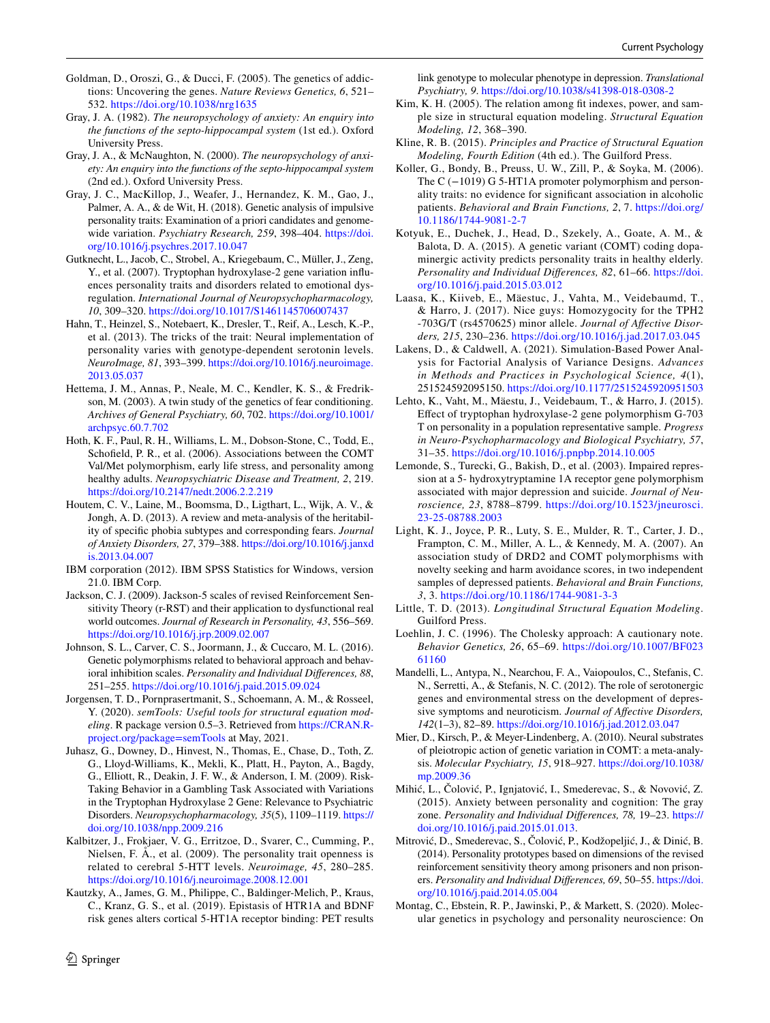- <span id="page-13-13"></span>Goldman, D., Oroszi, G., & Ducci, F. (2005). The genetics of addictions: Uncovering the genes. *Nature Reviews Genetics, 6*, 521– 532. <https://doi.org/10.1038/nrg1635>
- <span id="page-13-1"></span>Gray, J. A. (1982). *The neuropsychology of anxiety: An enquiry into the functions of the septo-hippocampal system* (1st ed.). Oxford University Press.
- <span id="page-13-0"></span>Gray, J. A., & McNaughton, N. (2000). *The neuropsychology of anxiety: An enquiry into the functions of the septo-hippocampal system* (2nd ed.). Oxford University Press.
- <span id="page-13-17"></span>Gray, J. C., MacKillop, J., Weafer, J., Hernandez, K. M., Gao, J., Palmer, A. A., & de Wit, H. (2018). Genetic analysis of impulsive personality traits: Examination of a priori candidates and genomewide variation. *Psychiatry Research, 259*, 398–404. [https://doi.](https://doi.org/10.1016/j.psychres.2017.10.047) [org/10.1016/j.psychres.2017.10.047](https://doi.org/10.1016/j.psychres.2017.10.047)
- <span id="page-13-20"></span>Gutknecht, L., Jacob, C., Strobel, A., Kriegebaum, C., Müller, J., Zeng, Y., et al. (2007). Tryptophan hydroxylase-2 gene variation infuences personality traits and disorders related to emotional dysregulation. *International Journal of Neuropsychopharmacology, 10*, 309–320.<https://doi.org/10.1017/S1461145706007437>
- <span id="page-13-21"></span>Hahn, T., Heinzel, S., Notebaert, K., Dresler, T., Reif, A., Lesch, K.-P., et al. (2013). The tricks of the trait: Neural implementation of personality varies with genotype-dependent serotonin levels. *NeuroImage, 81*, 393–399. [https://doi.org/10.1016/j.neuroimage.](https://doi.org/10.1016/j.neuroimage.2013.05.037) [2013.05.037](https://doi.org/10.1016/j.neuroimage.2013.05.037)
- <span id="page-13-6"></span>Hettema, J. M., Annas, P., Neale, M. C., Kendler, K. S., & Fredrikson, M. (2003). A twin study of the genetics of fear conditioning. *Archives of General Psychiatry, 60*, 702. [https://doi.org/10.1001/](https://doi.org/10.1001/archpsyc.60.7.702) [archpsyc.60.7.702](https://doi.org/10.1001/archpsyc.60.7.702)
- <span id="page-13-11"></span>Hoth, K. F., Paul, R. H., Williams, L. M., Dobson-Stone, C., Todd, E., Schofeld, P. R., et al. (2006). Associations between the COMT Val/Met polymorphism, early life stress, and personality among healthy adults. *Neuropsychiatric Disease and Treatment, 2*, 219. <https://doi.org/10.2147/nedt.2006.2.2.219>
- <span id="page-13-5"></span>Houtem, C. V., Laine, M., Boomsma, D., Ligthart, L., Wijk, A. V., & Jongh, A. D. (2013). A review and meta-analysis of the heritability of specifc phobia subtypes and corresponding fears. *Journal of Anxiety Disorders, 27*, 379–388. [https://doi.org/10.1016/j.janxd](https://doi.org/10.1016/j.janxdis.2013.04.007) [is.2013.04.007](https://doi.org/10.1016/j.janxdis.2013.04.007)
- <span id="page-13-29"></span>IBM corporation (2012). IBM SPSS Statistics for Windows, version 21.0. IBM Corp.
- <span id="page-13-4"></span>Jackson, C. J. (2009). Jackson-5 scales of revised Reinforcement Sensitivity Theory (r-RST) and their application to dysfunctional real world outcomes. *Journal of Research in Personality, 43*, 556–569. <https://doi.org/10.1016/j.jrp.2009.02.007>
- <span id="page-13-7"></span>Johnson, S. L., Carver, C. S., Joormann, J., & Cuccaro, M. L. (2016). Genetic polymorphisms related to behavioral approach and behavioral inhibition scales. *Personality and Individual Diferences, 88*, 251–255.<https://doi.org/10.1016/j.paid.2015.09.024>
- <span id="page-13-25"></span>Jorgensen, T. D., Pornprasertmanit, S., Schoemann, A. M., & Rosseel, Y. (2020). *semTools: Useful tools for structural equation modeling*. R package version 0.5–3. Retrieved from [https://CRAN.R](https://cran.r-project.org/package=semTools)[project.org/package=semTools](https://cran.r-project.org/package=semTools) at May, 2021.
- <span id="page-13-23"></span>Juhasz, G., Downey, D., Hinvest, N., Thomas, E., Chase, D., Toth, Z. G., Lloyd-Williams, K., Mekli, K., Platt, H., Payton, A., Bagdy, G., Elliott, R., Deakin, J. F. W., & Anderson, I. M. (2009). Risk-Taking Behavior in a Gambling Task Associated with Variations in the Tryptophan Hydroxylase 2 Gene: Relevance to Psychiatric Disorders. *Neuropsychopharmacology, 35*(5), 1109–1119. [https://](https://doi.org/10.1038/npp.2009.216) [doi.org/10.1038/npp.2009.216](https://doi.org/10.1038/npp.2009.216)
- <span id="page-13-16"></span>Kalbitzer, J., Frokjaer, V. G., Erritzoe, D., Svarer, C., Cumming, P., Nielsen, F. Å., et al. (2009). The personality trait openness is related to cerebral 5-HTT levels. *Neuroimage, 45*, 280–285. <https://doi.org/10.1016/j.neuroimage.2008.12.001>
- <span id="page-13-18"></span>Kautzky, A., James, G. M., Philippe, C., Baldinger-Melich, P., Kraus, C., Kranz, G. S., et al. (2019). Epistasis of HTR1A and BDNF risk genes alters cortical 5-HT1A receptor binding: PET results

link genotype to molecular phenotype in depression. *Translational Psychiatry, 9*. <https://doi.org/10.1038/s41398-018-0308-2>

- <span id="page-13-24"></span>Kim, K. H. (2005). The relation among ft indexes, power, and sample size in structural equation modeling. *Structural Equation Modeling, 12*, 368–390.
- <span id="page-13-27"></span>Kline, R. B. (2015). *Principles and Practice of Structural Equation Modeling, Fourth Edition* (4th ed.). The Guilford Press.
- <span id="page-13-9"></span>Koller, G., Bondy, B., Preuss, U. W., Zill, P., & Soyka, M. (2006). The C (−1019) G 5-HT1A promoter polymorphism and personality traits: no evidence for signifcant association in alcoholic patients. *Behavioral and Brain Functions, 2*, 7. [https://doi.org/](https://doi.org/10.1186/1744-9081-2-7) [10.1186/1744-9081-2-7](https://doi.org/10.1186/1744-9081-2-7)
- <span id="page-13-10"></span>Kotyuk, E., Duchek, J., Head, D., Szekely, A., Goate, A. M., & Balota, D. A. (2015). A genetic variant (COMT) coding dopaminergic activity predicts personality traits in healthy elderly. *Personality and Individual Diferences, 82*, 61–66. [https://doi.](https://doi.org/10.1016/j.paid.2015.03.012) [org/10.1016/j.paid.2015.03.012](https://doi.org/10.1016/j.paid.2015.03.012)
- <span id="page-13-19"></span>Laasa, K., Kiiveb, E., Mäestuc, J., Vahta, M., Veidebaumd, T., & Harro, J. (2017). Nice guys: Homozygocity for the TPH2 -703G/T (rs4570625) minor allele. *Journal of Afective Disorders, 215*, 230–236. <https://doi.org/10.1016/j.jad.2017.03.045>
- <span id="page-13-30"></span>Lakens, D., & Caldwell, A. (2021). Simulation-Based Power Analysis for Factorial Analysis of Variance Designs. *Advances in Methods and Practices in Psychological Science, 4*(1), 251524592095150. <https://doi.org/10.1177/2515245920951503>
- <span id="page-13-8"></span>Lehto, K., Vaht, M., Mäestu, J., Veidebaum, T., & Harro, J. (2015). Efect of tryptophan hydroxylase-2 gene polymorphism G-703 T on personality in a population representative sample. *Progress in Neuro-Psychopharmacology and Biological Psychiatry, 57*, 31–35. <https://doi.org/10.1016/j.pnpbp.2014.10.005>
- <span id="page-13-15"></span>Lemonde, S., Turecki, G., Bakish, D., et al. (2003). Impaired repression at a 5- hydroxytryptamine 1A receptor gene polymorphism associated with major depression and suicide. *Journal of Neuroscience, 23*, 8788–8799. [https://doi.org/10.1523/jneurosci.](https://doi.org/10.1523/jneurosci.23-25-08788.2003) [23-25-08788.2003](https://doi.org/10.1523/jneurosci.23-25-08788.2003)
- <span id="page-13-14"></span>Light, K. J., Joyce, P. R., Luty, S. E., Mulder, R. T., Carter, J. D., Frampton, C. M., Miller, A. L., & Kennedy, M. A. (2007). An association study of DRD2 and COMT polymorphisms with novelty seeking and harm avoidance scores, in two independent samples of depressed patients. *Behavioral and Brain Functions, 3*, 3. <https://doi.org/10.1186/1744-9081-3-3>
- <span id="page-13-28"></span>Little, T. D. (2013). *Longitudinal Structural Equation Modeling*. Guilford Press.
- <span id="page-13-26"></span>Loehlin, J. C. (1996). The Cholesky approach: A cautionary note. *Behavior Genetics, 26*, 65–69. [https://doi.org/10.1007/BF023](https://doi.org/10.1007/BF02361160) [61160](https://doi.org/10.1007/BF02361160)
- <span id="page-13-22"></span>Mandelli, L., Antypa, N., Nearchou, F. A., Vaiopoulos, C., Stefanis, C. N., Serretti, A., & Stefanis, N. C. (2012). The role of serotonergic genes and environmental stress on the development of depressive symptoms and neuroticism. *Journal of Afective Disorders, 142*(1–3), 82–89. <https://doi.org/10.1016/j.jad.2012.03.047>
- <span id="page-13-12"></span>Mier, D., Kirsch, P., & Meyer-Lindenberg, A. (2010). Neural substrates of pleiotropic action of genetic variation in COMT: a meta-analysis. *Molecular Psychiatry, 15*, 918–927. [https://doi.org/10.1038/](https://doi.org/10.1038/mp.2009.36) [mp.2009.36](https://doi.org/10.1038/mp.2009.36)
- <span id="page-13-2"></span>Mihić, L., Čolović, P., Ignjatović, I., Smederevac, S., & Novović, Z. (2015). Anxiety between personality and cognition: The gray zone. *Personality and Individual Diferences, 78,* 19–23. [https://](https://doi.org/10.1016/j.paid.2015.01.013) [doi.org/10.1016/j.paid.2015.01.013.](https://doi.org/10.1016/j.paid.2015.01.013)
- <span id="page-13-3"></span>Mitrović, D., Smederevac, S., Čolović, P., Kodžopeljić, J., & Dinić, B. (2014). Personality prototypes based on dimensions of the revised reinforcement sensitivity theory among prisoners and non prisoners. *Personality and Individual Diferences, 69*, 50–55. [https://doi.](https://doi.org/10.1016/j.paid.2014.05.004) [org/10.1016/j.paid.2014.05.004](https://doi.org/10.1016/j.paid.2014.05.004)
- <span id="page-13-31"></span>Montag, C., Ebstein, R. P., Jawinski, P., & Markett, S. (2020). Molecular genetics in psychology and personality neuroscience: On